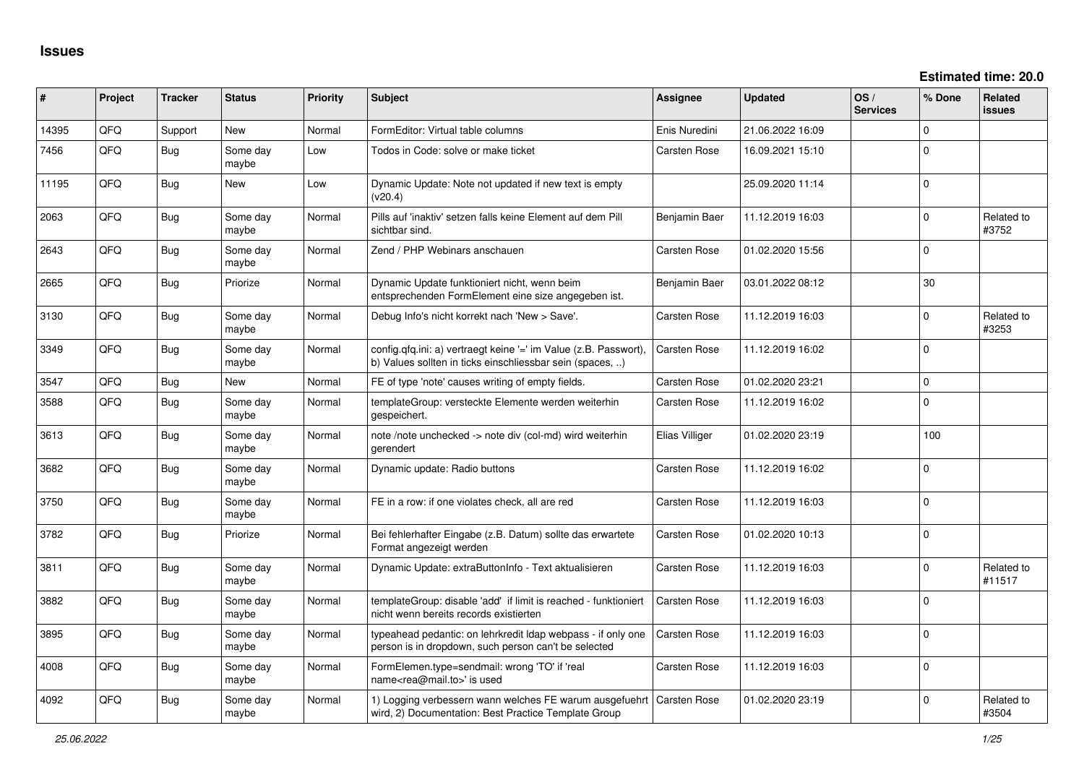| #     | Project | <b>Tracker</b> | <b>Status</b>     | <b>Priority</b> | <b>Subject</b>                                                                                                                | <b>Assignee</b>     | <b>Updated</b>   | OS/<br><b>Services</b> | % Done      | Related<br><b>issues</b> |
|-------|---------|----------------|-------------------|-----------------|-------------------------------------------------------------------------------------------------------------------------------|---------------------|------------------|------------------------|-------------|--------------------------|
| 14395 | QFQ     | Support        | <b>New</b>        | Normal          | FormEditor: Virtual table columns                                                                                             | Enis Nuredini       | 21.06.2022 16:09 |                        | $\Omega$    |                          |
| 7456  | QFQ     | Bug            | Some day<br>maybe | Low             | Todos in Code: solve or make ticket                                                                                           | Carsten Rose        | 16.09.2021 15:10 |                        | $\mathbf 0$ |                          |
| 11195 | QFQ     | Bug            | New               | Low             | Dynamic Update: Note not updated if new text is empty<br>(v20.4)                                                              |                     | 25.09.2020 11:14 |                        | $\mathbf 0$ |                          |
| 2063  | QFQ     | Bug            | Some day<br>maybe | Normal          | Pills auf 'inaktiv' setzen falls keine Element auf dem Pill<br>sichtbar sind.                                                 | Benjamin Baer       | 11.12.2019 16:03 |                        | $\Omega$    | Related to<br>#3752      |
| 2643  | QFQ     | <b>Bug</b>     | Some day<br>maybe | Normal          | Zend / PHP Webinars anschauen                                                                                                 | <b>Carsten Rose</b> | 01.02.2020 15:56 |                        | $\Omega$    |                          |
| 2665  | QFQ     | <b>Bug</b>     | Priorize          | Normal          | Dynamic Update funktioniert nicht, wenn beim<br>entsprechenden FormElement eine size angegeben ist.                           | Benjamin Baer       | 03.01.2022 08:12 |                        | 30          |                          |
| 3130  | QFQ     | Bug            | Some day<br>maybe | Normal          | Debug Info's nicht korrekt nach 'New > Save'.                                                                                 | Carsten Rose        | 11.12.2019 16:03 |                        | $\Omega$    | Related to<br>#3253      |
| 3349  | QFQ     | Bug            | Some day<br>maybe | Normal          | config.qfq.ini: a) vertraegt keine '=' im Value (z.B. Passwort),<br>b) Values sollten in ticks einschliessbar sein (spaces, ) | Carsten Rose        | 11.12.2019 16:02 |                        | $\Omega$    |                          |
| 3547  | QFQ     | <b>Bug</b>     | New               | Normal          | FE of type 'note' causes writing of empty fields.                                                                             | Carsten Rose        | 01.02.2020 23:21 |                        | $\Omega$    |                          |
| 3588  | QFQ     | <b>Bug</b>     | Some day<br>maybe | Normal          | templateGroup: versteckte Elemente werden weiterhin<br>gespeichert.                                                           | <b>Carsten Rose</b> | 11.12.2019 16:02 |                        | $\Omega$    |                          |
| 3613  | QFQ     | <b>Bug</b>     | Some day<br>maybe | Normal          | note /note unchecked -> note div (col-md) wird weiterhin<br>gerendert                                                         | Elias Villiger      | 01.02.2020 23:19 |                        | 100         |                          |
| 3682  | QFQ     | <b>Bug</b>     | Some day<br>maybe | Normal          | Dynamic update: Radio buttons                                                                                                 | Carsten Rose        | 11.12.2019 16:02 |                        | $\Omega$    |                          |
| 3750  | QFQ     | <b>Bug</b>     | Some day<br>maybe | Normal          | FE in a row: if one violates check, all are red                                                                               | <b>Carsten Rose</b> | 11.12.2019 16:03 |                        | $\Omega$    |                          |
| 3782  | QFQ     | <b>Bug</b>     | Priorize          | Normal          | Bei fehlerhafter Eingabe (z.B. Datum) sollte das erwartete<br>Format angezeigt werden                                         | Carsten Rose        | 01.02.2020 10:13 |                        | $\Omega$    |                          |
| 3811  | QFQ     | <b>Bug</b>     | Some day<br>maybe | Normal          | Dynamic Update: extraButtonInfo - Text aktualisieren                                                                          | <b>Carsten Rose</b> | 11.12.2019 16:03 |                        | $\Omega$    | Related to<br>#11517     |
| 3882  | QFQ     | <b>Bug</b>     | Some day<br>maybe | Normal          | templateGroup: disable 'add' if limit is reached - funktioniert<br>nicht wenn bereits records existierten                     | Carsten Rose        | 11.12.2019 16:03 |                        | $\Omega$    |                          |
| 3895  | QFQ     | Bug            | Some day<br>maybe | Normal          | typeahead pedantic: on lehrkredit Idap webpass - if only one<br>person is in dropdown, such person can't be selected          | <b>Carsten Rose</b> | 11.12.2019 16:03 |                        | $\mathbf 0$ |                          |
| 4008  | QFQ     | Bug            | Some day<br>maybe | Normal          | FormElemen.type=sendmail: wrong 'TO' if 'real<br>name <rea@mail.to>' is used</rea@mail.to>                                    | Carsten Rose        | 11.12.2019 16:03 |                        | $\Omega$    |                          |
| 4092  | QFQ     | Bug            | Some day<br>maybe | Normal          | 1) Logging verbessern wann welches FE warum ausgefuehrt<br>wird, 2) Documentation: Best Practice Template Group               | <b>Carsten Rose</b> | 01.02.2020 23:19 |                        | $\Omega$    | Related to<br>#3504      |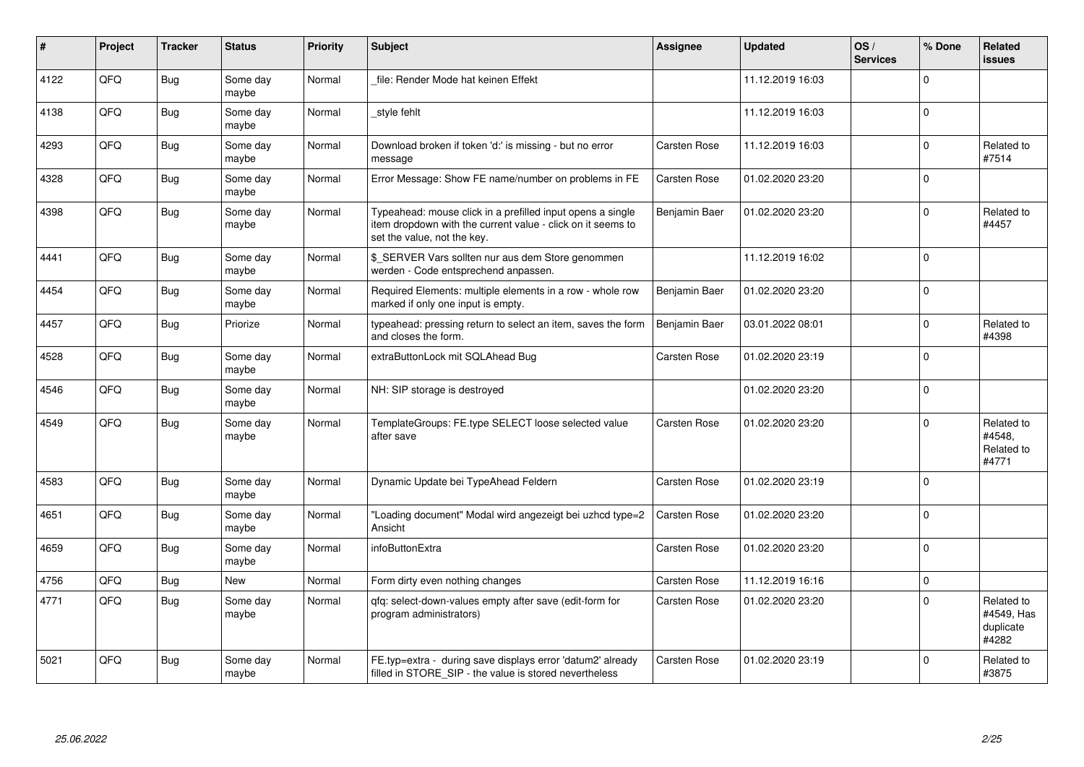| #    | Project | <b>Tracker</b> | <b>Status</b>     | <b>Priority</b> | <b>Subject</b>                                                                                                                                           | <b>Assignee</b> | <b>Updated</b>   | OS/<br><b>Services</b> | % Done      | Related<br><b>issues</b>                       |
|------|---------|----------------|-------------------|-----------------|----------------------------------------------------------------------------------------------------------------------------------------------------------|-----------------|------------------|------------------------|-------------|------------------------------------------------|
| 4122 | QFQ     | Bug            | Some day<br>maybe | Normal          | file: Render Mode hat keinen Effekt                                                                                                                      |                 | 11.12.2019 16:03 |                        | $\Omega$    |                                                |
| 4138 | QFQ     | <b>Bug</b>     | Some day<br>maybe | Normal          | _style fehlt                                                                                                                                             |                 | 11.12.2019 16:03 |                        | $\mathbf 0$ |                                                |
| 4293 | QFQ     | <b>Bug</b>     | Some day<br>maybe | Normal          | Download broken if token 'd:' is missing - but no error<br>message                                                                                       | Carsten Rose    | 11.12.2019 16:03 |                        | $\mathbf 0$ | Related to<br>#7514                            |
| 4328 | QFQ     | <b>Bug</b>     | Some day<br>maybe | Normal          | Error Message: Show FE name/number on problems in FE                                                                                                     | Carsten Rose    | 01.02.2020 23:20 |                        | $\mathbf 0$ |                                                |
| 4398 | QFQ     | <b>Bug</b>     | Some day<br>maybe | Normal          | Typeahead: mouse click in a prefilled input opens a single<br>item dropdown with the current value - click on it seems to<br>set the value, not the key. | Benjamin Baer   | 01.02.2020 23:20 |                        | 0           | Related to<br>#4457                            |
| 4441 | QFQ     | Bug            | Some day<br>maybe | Normal          | \$_SERVER Vars sollten nur aus dem Store genommen<br>werden - Code entsprechend anpassen.                                                                |                 | 11.12.2019 16:02 |                        | $\mathbf 0$ |                                                |
| 4454 | QFQ     | Bug            | Some day<br>maybe | Normal          | Required Elements: multiple elements in a row - whole row<br>marked if only one input is empty.                                                          | Benjamin Baer   | 01.02.2020 23:20 |                        | $\mathbf 0$ |                                                |
| 4457 | QFQ     | <b>Bug</b>     | Priorize          | Normal          | typeahead: pressing return to select an item, saves the form<br>and closes the form.                                                                     | Benjamin Baer   | 03.01.2022 08:01 |                        | $\mathbf 0$ | Related to<br>#4398                            |
| 4528 | QFQ     | <b>Bug</b>     | Some day<br>maybe | Normal          | extraButtonLock mit SQLAhead Bug                                                                                                                         | Carsten Rose    | 01.02.2020 23:19 |                        | $\mathbf 0$ |                                                |
| 4546 | QFQ     | <b>Bug</b>     | Some day<br>maybe | Normal          | NH: SIP storage is destroyed                                                                                                                             |                 | 01.02.2020 23:20 |                        | $\mathbf 0$ |                                                |
| 4549 | QFQ     | <b>Bug</b>     | Some day<br>maybe | Normal          | TemplateGroups: FE.type SELECT loose selected value<br>after save                                                                                        | Carsten Rose    | 01.02.2020 23:20 |                        | $\Omega$    | Related to<br>#4548,<br>Related to<br>#4771    |
| 4583 | QFQ     | <b>Bug</b>     | Some day<br>maybe | Normal          | Dynamic Update bei TypeAhead Feldern                                                                                                                     | Carsten Rose    | 01.02.2020 23:19 |                        | $\Omega$    |                                                |
| 4651 | QFQ     | <b>Bug</b>     | Some day<br>maybe | Normal          | 'Loading document" Modal wird angezeigt bei uzhcd type=2<br>Ansicht                                                                                      | Carsten Rose    | 01.02.2020 23:20 |                        | $\mathbf 0$ |                                                |
| 4659 | QFQ     | <b>Bug</b>     | Some day<br>maybe | Normal          | infoButtonExtra                                                                                                                                          | Carsten Rose    | 01.02.2020 23:20 |                        | $\Omega$    |                                                |
| 4756 | QFQ     | <b>Bug</b>     | New               | Normal          | Form dirty even nothing changes                                                                                                                          | Carsten Rose    | 11.12.2019 16:16 |                        | $\pmb{0}$   |                                                |
| 4771 | QFQ     | <b>Bug</b>     | Some day<br>maybe | Normal          | gfg: select-down-values empty after save (edit-form for<br>program administrators)                                                                       | Carsten Rose    | 01.02.2020 23:20 |                        | $\mathbf 0$ | Related to<br>#4549, Has<br>duplicate<br>#4282 |
| 5021 | QFQ     | <b>Bug</b>     | Some day<br>maybe | Normal          | FE.typ=extra - during save displays error 'datum2' already<br>filled in STORE_SIP - the value is stored nevertheless                                     | Carsten Rose    | 01.02.2020 23:19 |                        | $\Omega$    | Related to<br>#3875                            |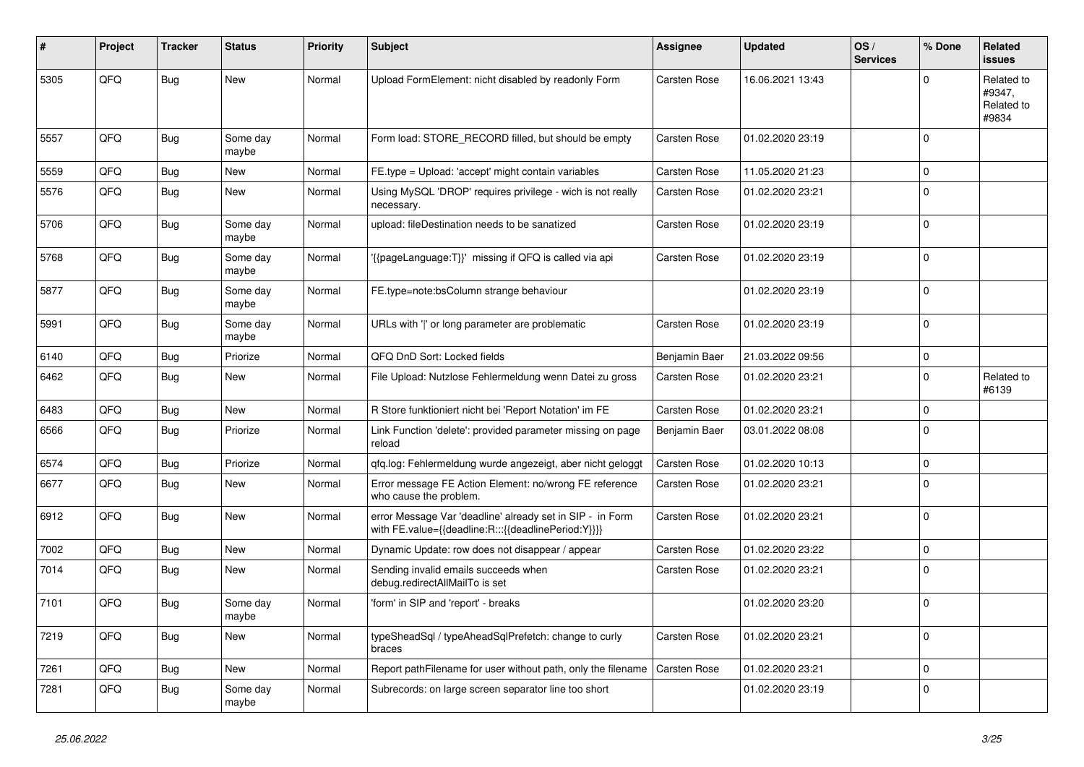| ∦    | Project | <b>Tracker</b> | <b>Status</b>     | <b>Priority</b> | <b>Subject</b>                                                                                                   | <b>Assignee</b>     | <b>Updated</b>   | OS/<br><b>Services</b> | % Done      | Related<br>issues                           |
|------|---------|----------------|-------------------|-----------------|------------------------------------------------------------------------------------------------------------------|---------------------|------------------|------------------------|-------------|---------------------------------------------|
| 5305 | QFQ     | <b>Bug</b>     | New               | Normal          | Upload FormElement: nicht disabled by readonly Form                                                              | <b>Carsten Rose</b> | 16.06.2021 13:43 |                        | 0           | Related to<br>#9347,<br>Related to<br>#9834 |
| 5557 | QFQ     | <b>Bug</b>     | Some day<br>maybe | Normal          | Form load: STORE_RECORD filled, but should be empty                                                              | Carsten Rose        | 01.02.2020 23:19 |                        | $\Omega$    |                                             |
| 5559 | QFQ     | Bug            | New               | Normal          | FE.type = Upload: 'accept' might contain variables                                                               | Carsten Rose        | 11.05.2020 21:23 |                        | $\mathbf 0$ |                                             |
| 5576 | QFQ     | <b>Bug</b>     | New               | Normal          | Using MySQL 'DROP' requires privilege - wich is not really<br>necessary.                                         | Carsten Rose        | 01.02.2020 23:21 |                        | $\Omega$    |                                             |
| 5706 | QFQ     | Bug            | Some day<br>maybe | Normal          | upload: fileDestination needs to be sanatized                                                                    | Carsten Rose        | 01.02.2020 23:19 |                        | $\Omega$    |                                             |
| 5768 | QFQ     | <b>Bug</b>     | Some day<br>maybe | Normal          | '{{pageLanguage:T}}' missing if QFQ is called via api                                                            | Carsten Rose        | 01.02.2020 23:19 |                        | 0           |                                             |
| 5877 | QFQ     | Bug            | Some day<br>maybe | Normal          | FE.type=note:bsColumn strange behaviour                                                                          |                     | 01.02.2020 23:19 |                        | $\Omega$    |                                             |
| 5991 | QFQ     | Bug            | Some day<br>maybe | Normal          | URLs with ' ' or long parameter are problematic                                                                  | Carsten Rose        | 01.02.2020 23:19 |                        | $\Omega$    |                                             |
| 6140 | QFQ     | Bug            | Priorize          | Normal          | QFQ DnD Sort: Locked fields                                                                                      | Benjamin Baer       | 21.03.2022 09:56 |                        | $\mathbf 0$ |                                             |
| 6462 | QFQ     | <b>Bug</b>     | New               | Normal          | File Upload: Nutzlose Fehlermeldung wenn Datei zu gross                                                          | Carsten Rose        | 01.02.2020 23:21 |                        | $\Omega$    | Related to<br>#6139                         |
| 6483 | QFQ     | Bug            | New               | Normal          | R Store funktioniert nicht bei 'Report Notation' im FE                                                           | Carsten Rose        | 01.02.2020 23:21 |                        | $\mathbf 0$ |                                             |
| 6566 | QFQ     | Bug            | Priorize          | Normal          | Link Function 'delete': provided parameter missing on page<br>reload                                             | Benjamin Baer       | 03.01.2022 08:08 |                        | $\Omega$    |                                             |
| 6574 | QFQ     | Bug            | Priorize          | Normal          | qfq.log: Fehlermeldung wurde angezeigt, aber nicht geloggt                                                       | Carsten Rose        | 01.02.2020 10:13 |                        | $\mathbf 0$ |                                             |
| 6677 | QFQ     | Bug            | New               | Normal          | Error message FE Action Element: no/wrong FE reference<br>who cause the problem.                                 | Carsten Rose        | 01.02.2020 23:21 |                        | $\mathbf 0$ |                                             |
| 6912 | QFQ     | <b>Bug</b>     | New               | Normal          | error Message Var 'deadline' already set in SIP - in Form<br>with FE.value={{deadline:R:::{{deadlinePeriod:Y}}}} | Carsten Rose        | 01.02.2020 23:21 |                        | $\Omega$    |                                             |
| 7002 | QFQ     | Bug            | New               | Normal          | Dynamic Update: row does not disappear / appear                                                                  | Carsten Rose        | 01.02.2020 23:22 |                        | $\mathbf 0$ |                                             |
| 7014 | QFQ     | Bug            | New               | Normal          | Sending invalid emails succeeds when<br>debug.redirectAllMailTo is set                                           | Carsten Rose        | 01.02.2020 23:21 |                        | $\Omega$    |                                             |
| 7101 | QFQ     | <b>Bug</b>     | Some day<br>maybe | Normal          | 'form' in SIP and 'report' - breaks                                                                              |                     | 01.02.2020 23:20 |                        | $\mathbf 0$ |                                             |
| 7219 | QFQ     | Bug            | New               | Normal          | typeSheadSql / typeAheadSqlPrefetch: change to curly<br>braces                                                   | Carsten Rose        | 01.02.2020 23:21 |                        | $\mathbf 0$ |                                             |
| 7261 | QFQ     | Bug            | New               | Normal          | Report pathFilename for user without path, only the filename                                                     | Carsten Rose        | 01.02.2020 23:21 |                        | $\mathbf 0$ |                                             |
| 7281 | QFQ     | <b>Bug</b>     | Some day<br>maybe | Normal          | Subrecords: on large screen separator line too short                                                             |                     | 01.02.2020 23:19 |                        | $\mathbf 0$ |                                             |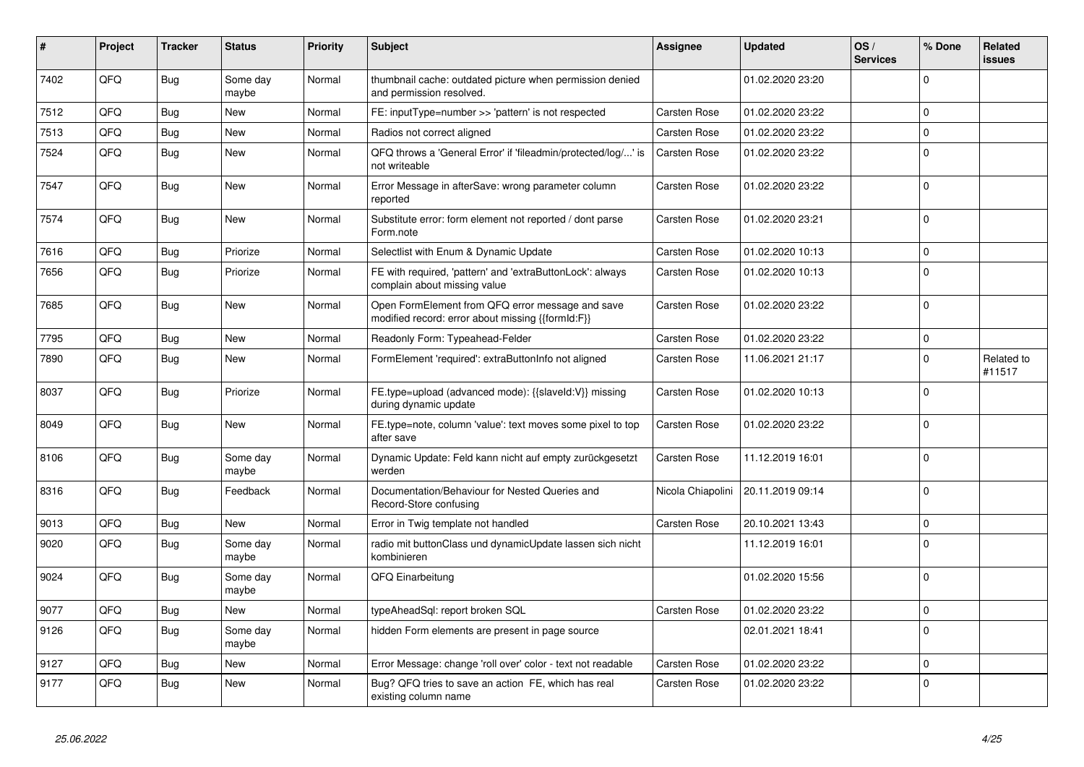| #    | Project | <b>Tracker</b> | <b>Status</b>     | <b>Priority</b> | <b>Subject</b>                                                                                        | Assignee            | <b>Updated</b>   | OS/<br><b>Services</b> | % Done      | Related<br>issues    |
|------|---------|----------------|-------------------|-----------------|-------------------------------------------------------------------------------------------------------|---------------------|------------------|------------------------|-------------|----------------------|
| 7402 | QFQ     | <b>Bug</b>     | Some day<br>maybe | Normal          | thumbnail cache: outdated picture when permission denied<br>and permission resolved.                  |                     | 01.02.2020 23:20 |                        | $\Omega$    |                      |
| 7512 | QFQ     | Bug            | <b>New</b>        | Normal          | FE: inputType=number >> 'pattern' is not respected                                                    | Carsten Rose        | 01.02.2020 23:22 |                        | $\Omega$    |                      |
| 7513 | QFQ     | Bug            | <b>New</b>        | Normal          | Radios not correct aligned                                                                            | Carsten Rose        | 01.02.2020 23:22 |                        | $\Omega$    |                      |
| 7524 | QFQ     | Bug            | New               | Normal          | QFQ throws a 'General Error' if 'fileadmin/protected/log/' is<br>not writeable                        | Carsten Rose        | 01.02.2020 23:22 |                        | $\Omega$    |                      |
| 7547 | QFQ     | <b>Bug</b>     | <b>New</b>        | Normal          | Error Message in afterSave: wrong parameter column<br>reported                                        | Carsten Rose        | 01.02.2020 23:22 |                        | $\Omega$    |                      |
| 7574 | QFQ     | Bug            | <b>New</b>        | Normal          | Substitute error: form element not reported / dont parse<br>Form.note                                 | Carsten Rose        | 01.02.2020 23:21 |                        | $\Omega$    |                      |
| 7616 | QFQ     | <b>Bug</b>     | Priorize          | Normal          | Selectlist with Enum & Dynamic Update                                                                 | Carsten Rose        | 01.02.2020 10:13 |                        | $\Omega$    |                      |
| 7656 | QFQ     | <b>Bug</b>     | Priorize          | Normal          | FE with required, 'pattern' and 'extraButtonLock': always<br>complain about missing value             | Carsten Rose        | 01.02.2020 10:13 |                        | $\Omega$    |                      |
| 7685 | QFQ     | <b>Bug</b>     | New               | Normal          | Open FormElement from QFQ error message and save<br>modified record: error about missing {{formId:F}} | Carsten Rose        | 01.02.2020 23:22 |                        | $\mathbf 0$ |                      |
| 7795 | QFQ     | <b>Bug</b>     | <b>New</b>        | Normal          | Readonly Form: Typeahead-Felder                                                                       | Carsten Rose        | 01.02.2020 23:22 |                        | $\Omega$    |                      |
| 7890 | QFQ     | Bug            | New               | Normal          | FormElement 'required': extraButtonInfo not aligned                                                   | <b>Carsten Rose</b> | 11.06.2021 21:17 |                        | $\Omega$    | Related to<br>#11517 |
| 8037 | OFO     | <b>Bug</b>     | Priorize          | Normal          | FE.type=upload (advanced mode): {{slaveId:V}} missing<br>during dynamic update                        | Carsten Rose        | 01.02.2020 10:13 |                        | $\Omega$    |                      |
| 8049 | QFQ     | Bug            | <b>New</b>        | Normal          | FE.type=note, column 'value': text moves some pixel to top<br>after save                              | Carsten Rose        | 01.02.2020 23:22 |                        | $\Omega$    |                      |
| 8106 | QFQ     | <b>Bug</b>     | Some day<br>maybe | Normal          | Dynamic Update: Feld kann nicht auf empty zurückgesetzt<br>werden                                     | Carsten Rose        | 11.12.2019 16:01 |                        | $\Omega$    |                      |
| 8316 | QFQ     | Bug            | Feedback          | Normal          | Documentation/Behaviour for Nested Queries and<br>Record-Store confusing                              | Nicola Chiapolini   | 20.11.2019 09:14 |                        | $\Omega$    |                      |
| 9013 | QFQ     | <b>Bug</b>     | <b>New</b>        | Normal          | Error in Twig template not handled                                                                    | Carsten Rose        | 20.10.2021 13:43 |                        | $\mathbf 0$ |                      |
| 9020 | QFQ     | <b>Bug</b>     | Some day<br>maybe | Normal          | radio mit buttonClass und dynamicUpdate lassen sich nicht<br>kombinieren                              |                     | 11.12.2019 16:01 |                        | $\Omega$    |                      |
| 9024 | QFQ     | Bug            | Some day<br>maybe | Normal          | QFQ Einarbeitung                                                                                      |                     | 01.02.2020 15:56 |                        | $\Omega$    |                      |
| 9077 | QFQ     | Bug            | New               | Normal          | typeAheadSql: report broken SQL                                                                       | Carsten Rose        | 01.02.2020 23:22 |                        | $\mathbf 0$ |                      |
| 9126 | QFQ     | <b>Bug</b>     | Some dav<br>maybe | Normal          | hidden Form elements are present in page source                                                       |                     | 02.01.2021 18:41 |                        | $\Omega$    |                      |
| 9127 | QFQ     | Bug            | <b>New</b>        | Normal          | Error Message: change 'roll over' color - text not readable                                           | Carsten Rose        | 01.02.2020 23:22 |                        | $\Omega$    |                      |
| 9177 | QFQ     | Bug            | New               | Normal          | Bug? QFQ tries to save an action FE, which has real<br>existing column name                           | Carsten Rose        | 01.02.2020 23:22 |                        | $\Omega$    |                      |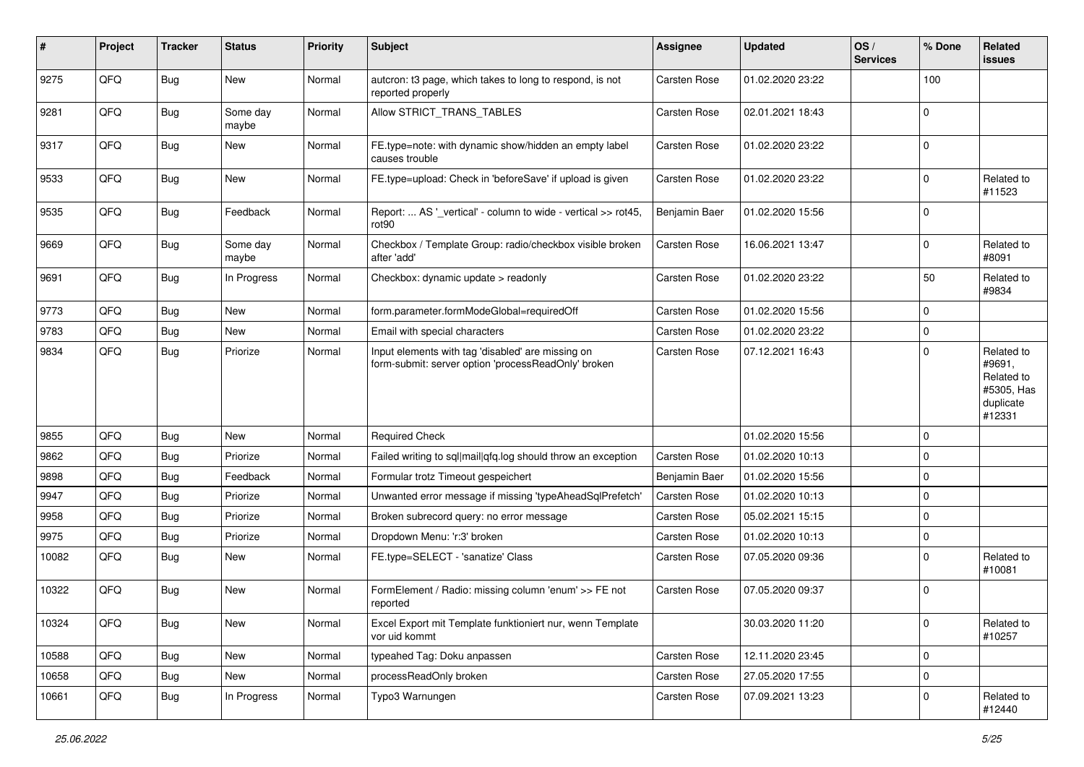| ∦     | Project | <b>Tracker</b> | <b>Status</b>     | <b>Priority</b> | <b>Subject</b>                                                                                           | <b>Assignee</b>     | <b>Updated</b>   | OS/<br><b>Services</b> | % Done      | Related<br><b>issues</b>                                                |
|-------|---------|----------------|-------------------|-----------------|----------------------------------------------------------------------------------------------------------|---------------------|------------------|------------------------|-------------|-------------------------------------------------------------------------|
| 9275  | QFQ     | <b>Bug</b>     | New               | Normal          | autcron: t3 page, which takes to long to respond, is not<br>reported properly                            | Carsten Rose        | 01.02.2020 23:22 |                        | 100         |                                                                         |
| 9281  | QFQ     | <b>Bug</b>     | Some day<br>maybe | Normal          | Allow STRICT TRANS TABLES                                                                                | Carsten Rose        | 02.01.2021 18:43 |                        | $\mathbf 0$ |                                                                         |
| 9317  | QFQ     | <b>Bug</b>     | New               | Normal          | FE.type=note: with dynamic show/hidden an empty label<br>causes trouble                                  | Carsten Rose        | 01.02.2020 23:22 |                        | $\mathbf 0$ |                                                                         |
| 9533  | QFQ     | <b>Bug</b>     | New               | Normal          | FE.type=upload: Check in 'beforeSave' if upload is given                                                 | Carsten Rose        | 01.02.2020 23:22 |                        | $\mathbf 0$ | Related to<br>#11523                                                    |
| 9535  | QFQ     | <b>Bug</b>     | Feedback          | Normal          | Report:  AS '_vertical' - column to wide - vertical >> rot45,<br>rot90                                   | Benjamin Baer       | 01.02.2020 15:56 |                        | $\mathbf 0$ |                                                                         |
| 9669  | QFQ     | <b>Bug</b>     | Some day<br>maybe | Normal          | Checkbox / Template Group: radio/checkbox visible broken<br>after 'add'                                  | Carsten Rose        | 16.06.2021 13:47 |                        | $\mathbf 0$ | Related to<br>#8091                                                     |
| 9691  | QFQ     | <b>Bug</b>     | In Progress       | Normal          | Checkbox: dynamic update > readonly                                                                      | Carsten Rose        | 01.02.2020 23:22 |                        | 50          | Related to<br>#9834                                                     |
| 9773  | QFQ     | Bug            | <b>New</b>        | Normal          | form.parameter.formModeGlobal=requiredOff                                                                | Carsten Rose        | 01.02.2020 15:56 |                        | $\mathbf 0$ |                                                                         |
| 9783  | QFQ     | Bug            | New               | Normal          | Email with special characters                                                                            | Carsten Rose        | 01.02.2020 23:22 |                        | $\mathbf 0$ |                                                                         |
| 9834  | QFQ     | <b>Bug</b>     | Priorize          | Normal          | Input elements with tag 'disabled' are missing on<br>form-submit: server option 'processReadOnly' broken | Carsten Rose        | 07.12.2021 16:43 |                        | $\mathbf 0$ | Related to<br>#9691,<br>Related to<br>#5305, Has<br>duplicate<br>#12331 |
| 9855  | QFQ     | <b>Bug</b>     | New               | Normal          | <b>Required Check</b>                                                                                    |                     | 01.02.2020 15:56 |                        | $\mathbf 0$ |                                                                         |
| 9862  | QFQ     | Bug            | Priorize          | Normal          | Failed writing to sql mail qfq.log should throw an exception                                             | Carsten Rose        | 01.02.2020 10:13 |                        | $\mathbf 0$ |                                                                         |
| 9898  | QFQ     | <b>Bug</b>     | Feedback          | Normal          | Formular trotz Timeout gespeichert                                                                       | Benjamin Baer       | 01.02.2020 15:56 |                        | $\mathbf 0$ |                                                                         |
| 9947  | QFQ     | <b>Bug</b>     | Priorize          | Normal          | Unwanted error message if missing 'typeAheadSqlPrefetch'                                                 | Carsten Rose        | 01.02.2020 10:13 |                        | $\mathbf 0$ |                                                                         |
| 9958  | QFQ     | Bug            | Priorize          | Normal          | Broken subrecord query: no error message                                                                 | Carsten Rose        | 05.02.2021 15:15 |                        | 0           |                                                                         |
| 9975  | QFQ     | <b>Bug</b>     | Priorize          | Normal          | Dropdown Menu: 'r:3' broken                                                                              | Carsten Rose        | 01.02.2020 10:13 |                        | $\mathbf 0$ |                                                                         |
| 10082 | QFQ     | <b>Bug</b>     | New               | Normal          | FE.type=SELECT - 'sanatize' Class                                                                        | Carsten Rose        | 07.05.2020 09:36 |                        | $\mathbf 0$ | Related to<br>#10081                                                    |
| 10322 | QFQ     | Bug            | New               | Normal          | FormElement / Radio: missing column 'enum' >> FE not<br>reported                                         | <b>Carsten Rose</b> | 07.05.2020 09:37 |                        | 0           |                                                                         |
| 10324 | QFQ     | <b>Bug</b>     | New               | Normal          | Excel Export mit Template funktioniert nur, wenn Template<br>vor uid kommt                               |                     | 30.03.2020 11:20 |                        | 0           | Related to<br>#10257                                                    |
| 10588 | QFQ     | <b>Bug</b>     | New               | Normal          | typeahed Tag: Doku anpassen                                                                              | Carsten Rose        | 12.11.2020 23:45 |                        | $\mathbf 0$ |                                                                         |
| 10658 | QFQ     | <b>Bug</b>     | New               | Normal          | processReadOnly broken                                                                                   | Carsten Rose        | 27.05.2020 17:55 |                        | $\mathsf 0$ |                                                                         |
| 10661 | QFQ     | <b>Bug</b>     | In Progress       | Normal          | Typo3 Warnungen                                                                                          | Carsten Rose        | 07.09.2021 13:23 |                        | $\mathbf 0$ | Related to<br>#12440                                                    |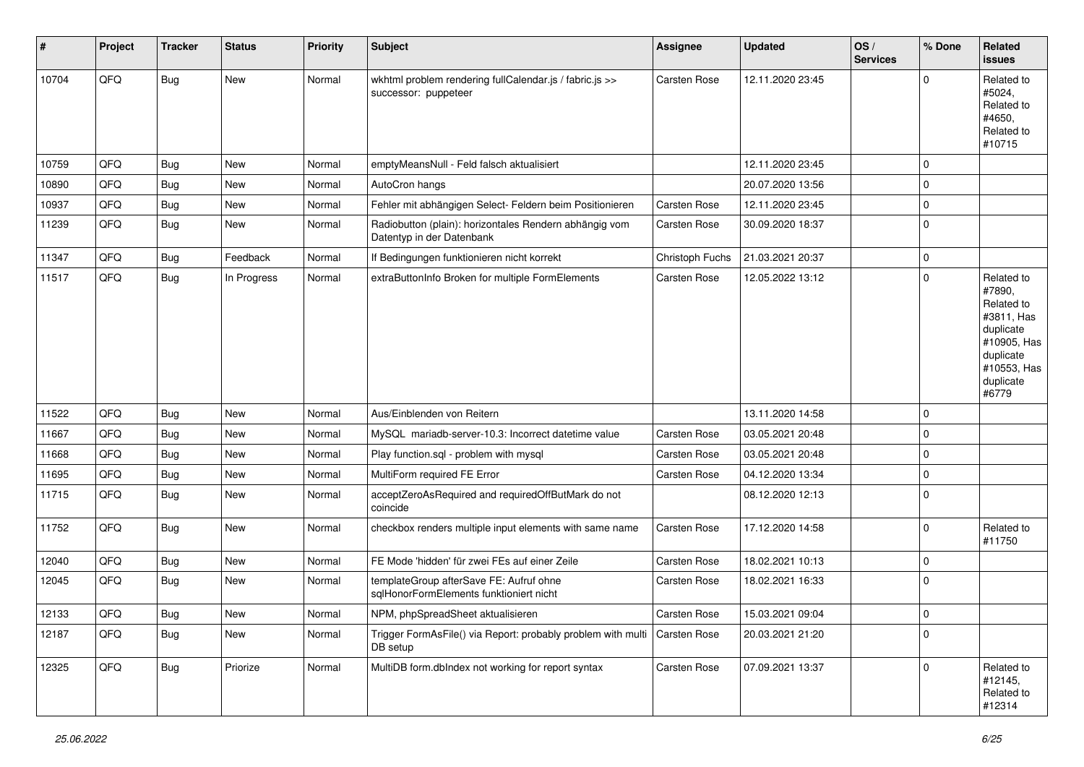| #     | Project | <b>Tracker</b> | <b>Status</b> | <b>Priority</b> | Subject                                                                             | <b>Assignee</b>     | Updated          | OS/<br><b>Services</b> | % Done                  | Related<br><b>issues</b>                                                                                                       |
|-------|---------|----------------|---------------|-----------------|-------------------------------------------------------------------------------------|---------------------|------------------|------------------------|-------------------------|--------------------------------------------------------------------------------------------------------------------------------|
| 10704 | QFQ     | Bug            | New           | Normal          | wkhtml problem rendering fullCalendar.js / fabric.js >><br>successor: puppeteer     | Carsten Rose        | 12.11.2020 23:45 |                        | $\Omega$                | Related to<br>#5024,<br>Related to<br>#4650,<br>Related to<br>#10715                                                           |
| 10759 | QFQ     | Bug            | <b>New</b>    | Normal          | emptyMeansNull - Feld falsch aktualisiert                                           |                     | 12.11.2020 23:45 |                        | 0                       |                                                                                                                                |
| 10890 | QFQ     | Bug            | New           | Normal          | AutoCron hangs                                                                      |                     | 20.07.2020 13:56 |                        | $\mathbf 0$             |                                                                                                                                |
| 10937 | QFQ     | Bug            | <b>New</b>    | Normal          | Fehler mit abhängigen Select- Feldern beim Positionieren                            | <b>Carsten Rose</b> | 12.11.2020 23:45 |                        | 0                       |                                                                                                                                |
| 11239 | QFQ     | Bug            | New           | Normal          | Radiobutton (plain): horizontales Rendern abhängig vom<br>Datentyp in der Datenbank | Carsten Rose        | 30.09.2020 18:37 |                        | 0                       |                                                                                                                                |
| 11347 | QFQ     | Bug            | Feedback      | Normal          | If Bedingungen funktionieren nicht korrekt                                          | Christoph Fuchs     | 21.03.2021 20:37 |                        | 0                       |                                                                                                                                |
| 11517 | QFQ     | <b>Bug</b>     | In Progress   | Normal          | extraButtonInfo Broken for multiple FormElements                                    | Carsten Rose        | 12.05.2022 13:12 |                        | $\mathbf 0$             | Related to<br>#7890,<br>Related to<br>#3811, Has<br>duplicate<br>#10905, Has<br>duplicate<br>#10553, Has<br>duplicate<br>#6779 |
| 11522 | QFQ     | Bug            | <b>New</b>    | Normal          | Aus/Einblenden von Reitern                                                          |                     | 13.11.2020 14:58 |                        | 0                       |                                                                                                                                |
| 11667 | QFQ     | Bug            | New           | Normal          | MySQL mariadb-server-10.3: Incorrect datetime value                                 | <b>Carsten Rose</b> | 03.05.2021 20:48 |                        | $\mathbf 0$             |                                                                                                                                |
| 11668 | QFQ     | Bug            | New           | Normal          | Play function.sql - problem with mysql                                              | Carsten Rose        | 03.05.2021 20:48 |                        | $\mathbf 0$             |                                                                                                                                |
| 11695 | QFQ     | Bug            | <b>New</b>    | Normal          | MultiForm required FE Error                                                         | <b>Carsten Rose</b> | 04.12.2020 13:34 |                        | $\mathbf 0$             |                                                                                                                                |
| 11715 | QFQ     | Bug            | <b>New</b>    | Normal          | acceptZeroAsRequired and requiredOffButMark do not<br>coincide                      |                     | 08.12.2020 12:13 |                        | l 0                     |                                                                                                                                |
| 11752 | QFQ     | Bug            | <b>New</b>    | Normal          | checkbox renders multiple input elements with same name                             | <b>Carsten Rose</b> | 17.12.2020 14:58 |                        | $\mathbf 0$             | Related to<br>#11750                                                                                                           |
| 12040 | QFQ     | Bug            | <b>New</b>    | Normal          | FE Mode 'hidden' für zwei FEs auf einer Zeile                                       | Carsten Rose        | 18.02.2021 10:13 |                        | 0                       |                                                                                                                                |
| 12045 | QFQ     | Bug            | New           | Normal          | templateGroup afterSave FE: Aufruf ohne<br>sqlHonorFormElements funktioniert nicht  | Carsten Rose        | 18.02.2021 16:33 |                        | $\mathbf 0$             |                                                                                                                                |
| 12133 | QFG     | <b>Bug</b>     | New           | Normal          | NPM, phpSpreadSheet aktualisieren                                                   | Carsten Rose        | 15.03.2021 09:04 |                        | $\overline{\mathbf{0}}$ |                                                                                                                                |
| 12187 | QFQ     | <b>Bug</b>     | New           | Normal          | Trigger FormAsFile() via Report: probably problem with multi<br>DB setup            | <b>Carsten Rose</b> | 20.03.2021 21:20 |                        | 0                       |                                                                                                                                |
| 12325 | QFQ     | <b>Bug</b>     | Priorize      | Normal          | MultiDB form.dblndex not working for report syntax                                  | Carsten Rose        | 07.09.2021 13:37 |                        | $\mathbf 0$             | Related to<br>#12145,<br>Related to<br>#12314                                                                                  |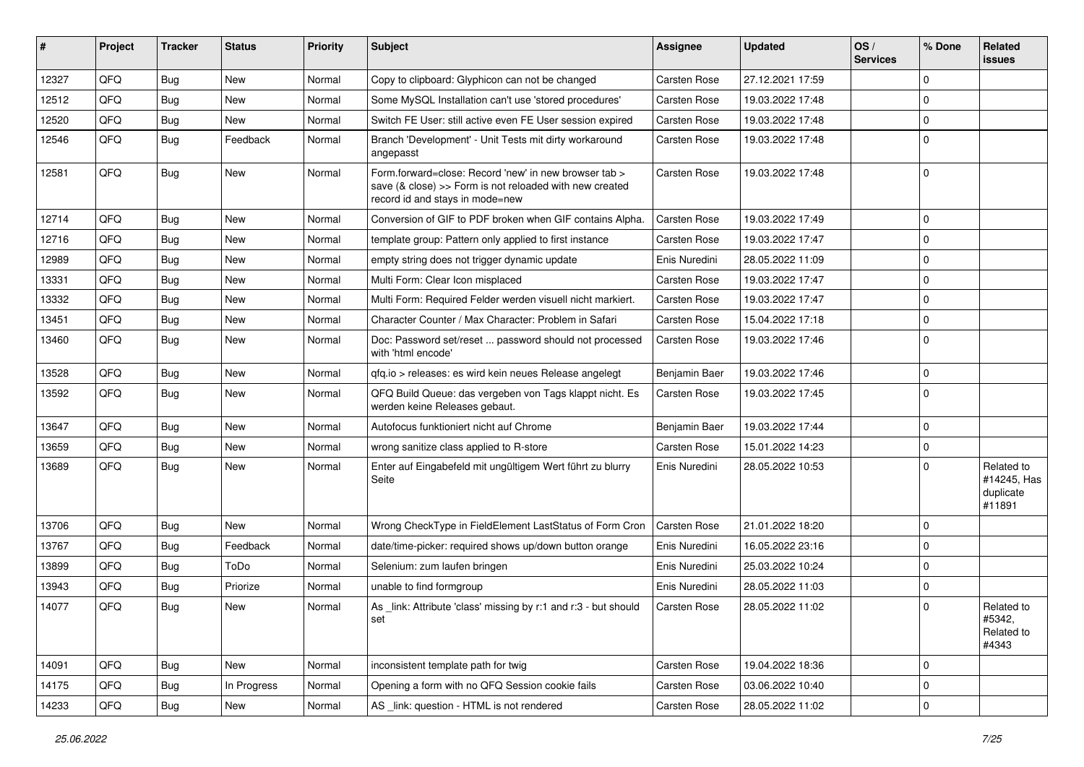| #     | Project | <b>Tracker</b> | <b>Status</b> | <b>Priority</b> | Subject                                                                                                                                             | Assignee            | <b>Updated</b>   | OS/<br><b>Services</b> | % Done      | Related<br><b>issues</b>                         |
|-------|---------|----------------|---------------|-----------------|-----------------------------------------------------------------------------------------------------------------------------------------------------|---------------------|------------------|------------------------|-------------|--------------------------------------------------|
| 12327 | QFQ     | Bug            | <b>New</b>    | Normal          | Copy to clipboard: Glyphicon can not be changed                                                                                                     | Carsten Rose        | 27.12.2021 17:59 |                        | $\Omega$    |                                                  |
| 12512 | QFQ     | Bug            | <b>New</b>    | Normal          | Some MySQL Installation can't use 'stored procedures'                                                                                               | <b>Carsten Rose</b> | 19.03.2022 17:48 |                        | $\mathbf 0$ |                                                  |
| 12520 | QFQ     | Bug            | New           | Normal          | Switch FE User: still active even FE User session expired                                                                                           | Carsten Rose        | 19.03.2022 17:48 |                        | $\Omega$    |                                                  |
| 12546 | QFQ     | Bug            | Feedback      | Normal          | Branch 'Development' - Unit Tests mit dirty workaround<br>angepasst                                                                                 | Carsten Rose        | 19.03.2022 17:48 |                        | $\Omega$    |                                                  |
| 12581 | QFQ     | Bug            | New           | Normal          | Form.forward=close: Record 'new' in new browser tab ><br>save (& close) >> Form is not reloaded with new created<br>record id and stays in mode=new | Carsten Rose        | 19.03.2022 17:48 |                        | 0           |                                                  |
| 12714 | QFQ     | Bug            | <b>New</b>    | Normal          | Conversion of GIF to PDF broken when GIF contains Alpha.                                                                                            | Carsten Rose        | 19.03.2022 17:49 |                        | $\mathbf 0$ |                                                  |
| 12716 | QFQ     | <b>Bug</b>     | New           | Normal          | template group: Pattern only applied to first instance                                                                                              | Carsten Rose        | 19.03.2022 17:47 |                        | $\mathbf 0$ |                                                  |
| 12989 | QFQ     | <b>Bug</b>     | <b>New</b>    | Normal          | empty string does not trigger dynamic update                                                                                                        | Enis Nuredini       | 28.05.2022 11:09 |                        | $\Omega$    |                                                  |
| 13331 | QFQ     | Bug            | New           | Normal          | Multi Form: Clear Icon misplaced                                                                                                                    | <b>Carsten Rose</b> | 19.03.2022 17:47 |                        | $\mathbf 0$ |                                                  |
| 13332 | QFQ     | <b>Bug</b>     | <b>New</b>    | Normal          | Multi Form: Required Felder werden visuell nicht markiert.                                                                                          | Carsten Rose        | 19.03.2022 17:47 |                        | 0           |                                                  |
| 13451 | QFQ     | Bug            | <b>New</b>    | Normal          | Character Counter / Max Character: Problem in Safari                                                                                                | Carsten Rose        | 15.04.2022 17:18 |                        | $\mathbf 0$ |                                                  |
| 13460 | QFQ     | Bug            | New           | Normal          | Doc: Password set/reset  password should not processed<br>with 'html encode'                                                                        | Carsten Rose        | 19.03.2022 17:46 |                        | 0           |                                                  |
| 13528 | QFQ     | Bug            | <b>New</b>    | Normal          | qfq.io > releases: es wird kein neues Release angelegt                                                                                              | Benjamin Baer       | 19.03.2022 17:46 |                        | $\mathbf 0$ |                                                  |
| 13592 | QFQ     | Bug            | New           | Normal          | QFQ Build Queue: das vergeben von Tags klappt nicht. Es<br>werden keine Releases gebaut.                                                            | Carsten Rose        | 19.03.2022 17:45 |                        | $\Omega$    |                                                  |
| 13647 | QFQ     | Bug            | <b>New</b>    | Normal          | Autofocus funktioniert nicht auf Chrome                                                                                                             | Benjamin Baer       | 19.03.2022 17:44 |                        | $\mathbf 0$ |                                                  |
| 13659 | QFQ     | <b>Bug</b>     | New           | Normal          | wrong sanitize class applied to R-store                                                                                                             | Carsten Rose        | 15.01.2022 14:23 |                        | $\mathbf 0$ |                                                  |
| 13689 | QFQ     | Bug            | New           | Normal          | Enter auf Eingabefeld mit ungültigem Wert führt zu blurry<br>Seite                                                                                  | Enis Nuredini       | 28.05.2022 10:53 |                        | $\Omega$    | Related to<br>#14245, Has<br>duplicate<br>#11891 |
| 13706 | QFQ     | <b>Bug</b>     | <b>New</b>    | Normal          | Wrong CheckType in FieldElement LastStatus of Form Cron                                                                                             | <b>Carsten Rose</b> | 21.01.2022 18:20 |                        | $\Omega$    |                                                  |
| 13767 | QFQ     | Bug            | Feedback      | Normal          | date/time-picker: required shows up/down button orange                                                                                              | Enis Nuredini       | 16.05.2022 23:16 |                        | $\Omega$    |                                                  |
| 13899 | QFQ     | Bug            | ToDo          | Normal          | Selenium: zum laufen bringen                                                                                                                        | Enis Nuredini       | 25.03.2022 10:24 |                        | $\Omega$    |                                                  |
| 13943 | QFQ     | <b>Bug</b>     | Priorize      | Normal          | unable to find formgroup                                                                                                                            | Enis Nuredini       | 28.05.2022 11:03 |                        | $\mathbf 0$ |                                                  |
| 14077 | QFQ     | <b>Bug</b>     | New           | Normal          | As link: Attribute 'class' missing by r:1 and r:3 - but should<br>set                                                                               | <b>Carsten Rose</b> | 28.05.2022 11:02 |                        | $\Omega$    | Related to<br>#5342,<br>Related to<br>#4343      |
| 14091 | QFQ     | Bug            | New           | Normal          | inconsistent template path for twig                                                                                                                 | Carsten Rose        | 19.04.2022 18:36 |                        | $\mathbf 0$ |                                                  |
| 14175 | QFQ     | <b>Bug</b>     | In Progress   | Normal          | Opening a form with no QFQ Session cookie fails                                                                                                     | Carsten Rose        | 03.06.2022 10:40 |                        | $\mathbf 0$ |                                                  |
| 14233 | QFQ     | <b>Bug</b>     | New           | Normal          | AS _link: question - HTML is not rendered                                                                                                           | Carsten Rose        | 28.05.2022 11:02 |                        | $\mathbf 0$ |                                                  |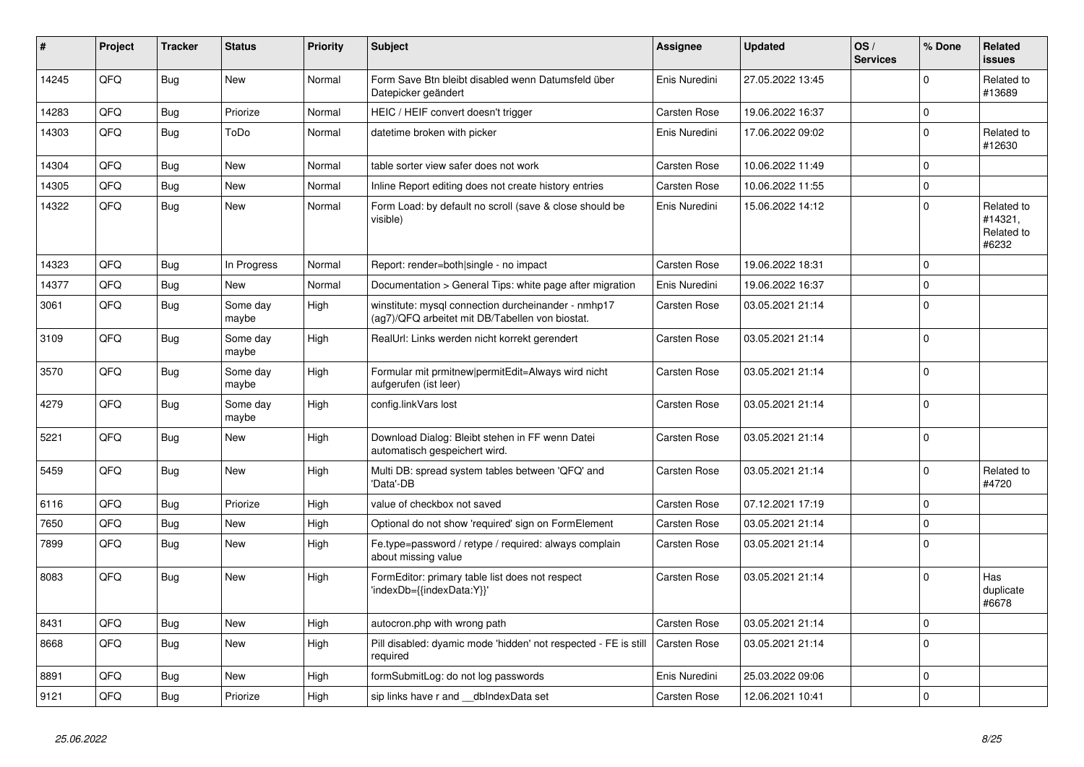| $\#$  | Project | <b>Tracker</b> | <b>Status</b>     | <b>Priority</b> | <b>Subject</b>                                                                                         | Assignee      | <b>Updated</b>   | OS/<br><b>Services</b> | % Done      | <b>Related</b><br><b>issues</b>              |
|-------|---------|----------------|-------------------|-----------------|--------------------------------------------------------------------------------------------------------|---------------|------------------|------------------------|-------------|----------------------------------------------|
| 14245 | QFQ     | Bug            | <b>New</b>        | Normal          | Form Save Btn bleibt disabled wenn Datumsfeld über<br>Datepicker geändert                              | Enis Nuredini | 27.05.2022 13:45 |                        | $\Omega$    | Related to<br>#13689                         |
| 14283 | QFQ     | <b>Bug</b>     | Priorize          | Normal          | HEIC / HEIF convert doesn't trigger                                                                    | Carsten Rose  | 19.06.2022 16:37 |                        | $\mathbf 0$ |                                              |
| 14303 | QFQ     | Bug            | ToDo              | Normal          | datetime broken with picker                                                                            | Enis Nuredini | 17.06.2022 09:02 |                        | $\mathbf 0$ | Related to<br>#12630                         |
| 14304 | QFQ     | Bug            | New               | Normal          | table sorter view safer does not work                                                                  | Carsten Rose  | 10.06.2022 11:49 |                        | $\Omega$    |                                              |
| 14305 | QFQ     | Bug            | <b>New</b>        | Normal          | Inline Report editing does not create history entries                                                  | Carsten Rose  | 10.06.2022 11:55 |                        | $\mathbf 0$ |                                              |
| 14322 | QFQ     | Bug            | <b>New</b>        | Normal          | Form Load: by default no scroll (save & close should be<br>visible)                                    | Enis Nuredini | 15.06.2022 14:12 |                        | $\Omega$    | Related to<br>#14321,<br>Related to<br>#6232 |
| 14323 | OFQ     | <b>Bug</b>     | In Progress       | Normal          | Report: render=both single - no impact                                                                 | Carsten Rose  | 19.06.2022 18:31 |                        | $\Omega$    |                                              |
| 14377 | QFQ     | Bug            | <b>New</b>        | Normal          | Documentation > General Tips: white page after migration                                               | Enis Nuredini | 19.06.2022 16:37 |                        | $\Omega$    |                                              |
| 3061  | QFQ     | Bug            | Some day<br>maybe | High            | winstitute: mysql connection durcheinander - nmhp17<br>(ag7)/QFQ arbeitet mit DB/Tabellen von biostat. | Carsten Rose  | 03.05.2021 21:14 |                        | $\Omega$    |                                              |
| 3109  | QFQ     | <b>Bug</b>     | Some day<br>maybe | High            | RealUrl: Links werden nicht korrekt gerendert                                                          | Carsten Rose  | 03.05.2021 21:14 |                        | $\Omega$    |                                              |
| 3570  | QFQ     | Bug            | Some day<br>maybe | High            | Formular mit prmitnew/permitEdit=Always wird nicht<br>aufgerufen (ist leer)                            | Carsten Rose  | 03.05.2021 21:14 |                        | $\Omega$    |                                              |
| 4279  | QFQ     | Bug            | Some day<br>maybe | High            | config.linkVars lost                                                                                   | Carsten Rose  | 03.05.2021 21:14 |                        | $\Omega$    |                                              |
| 5221  | QFQ     | Bug            | <b>New</b>        | High            | Download Dialog: Bleibt stehen in FF wenn Datei<br>automatisch gespeichert wird.                       | Carsten Rose  | 03.05.2021 21:14 |                        | $\Omega$    |                                              |
| 5459  | QFQ     | Bug            | <b>New</b>        | High            | Multi DB: spread system tables between 'QFQ' and<br>'Data'-DB                                          | Carsten Rose  | 03.05.2021 21:14 |                        | $\Omega$    | Related to<br>#4720                          |
| 6116  | QFQ     | <b>Bug</b>     | Priorize          | High            | value of checkbox not saved                                                                            | Carsten Rose  | 07.12.2021 17:19 |                        | $\Omega$    |                                              |
| 7650  | QFQ     | Bug            | New               | High            | Optional do not show 'required' sign on FormElement                                                    | Carsten Rose  | 03.05.2021 21:14 |                        | $\Omega$    |                                              |
| 7899  | QFQ     | <b>Bug</b>     | New               | High            | Fe.type=password / retype / required: always complain<br>about missing value                           | Carsten Rose  | 03.05.2021 21:14 |                        | $\Omega$    |                                              |
| 8083  | QFQ     | <b>Bug</b>     | <b>New</b>        | High            | FormEditor: primary table list does not respect<br>'indexDb={{indexData:Y}}'                           | Carsten Rose  | 03.05.2021 21:14 |                        | $\Omega$    | Has<br>duplicate<br>#6678                    |
| 8431  | QFQ     | <b>Bug</b>     | <b>New</b>        | High            | autocron.php with wrong path                                                                           | Carsten Rose  | 03.05.2021 21:14 |                        | $\mathbf 0$ |                                              |
| 8668  | QFQ     | <b>Bug</b>     | New               | High            | Pill disabled: dyamic mode 'hidden' not respected - FE is still<br>required                            | Carsten Rose  | 03.05.2021 21:14 |                        | $\Omega$    |                                              |
| 8891  | QFQ     | Bug            | New               | High            | formSubmitLog: do not log passwords                                                                    | Enis Nuredini | 25.03.2022 09:06 |                        | $\mathbf 0$ |                                              |
| 9121  | QFQ     | Bug            | Priorize          | High            | sip links have r and dblndexData set                                                                   | Carsten Rose  | 12.06.2021 10:41 |                        | $\mathbf 0$ |                                              |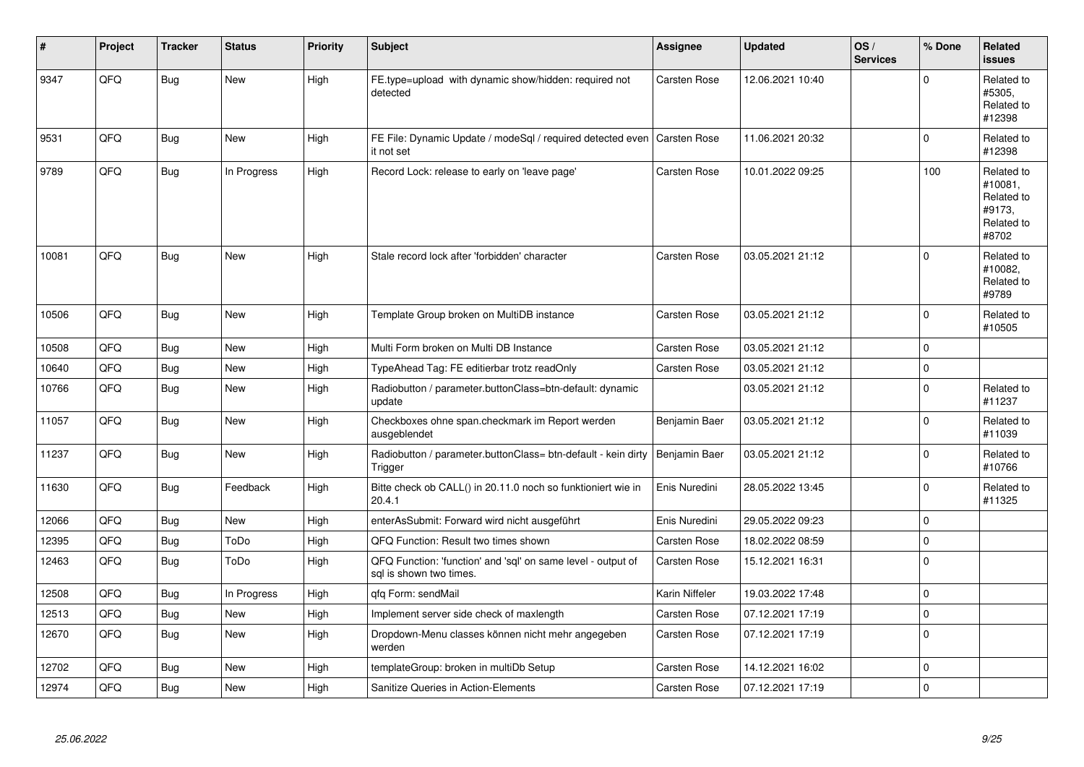| #     | Project | <b>Tracker</b> | <b>Status</b> | <b>Priority</b> | <b>Subject</b>                                                                          | Assignee            | <b>Updated</b>   | OS/<br><b>Services</b> | % Done      | Related<br><b>issues</b>                                             |
|-------|---------|----------------|---------------|-----------------|-----------------------------------------------------------------------------------------|---------------------|------------------|------------------------|-------------|----------------------------------------------------------------------|
| 9347  | QFQ     | Bug            | <b>New</b>    | High            | FE.type=upload with dynamic show/hidden: required not<br>detected                       | Carsten Rose        | 12.06.2021 10:40 |                        | $\Omega$    | Related to<br>#5305.<br>Related to<br>#12398                         |
| 9531  | QFQ     | <b>Bug</b>     | New           | High            | FE File: Dynamic Update / modeSql / required detected even<br>it not set                | <b>Carsten Rose</b> | 11.06.2021 20:32 |                        | $\mathbf 0$ | Related to<br>#12398                                                 |
| 9789  | QFQ     | Bug            | In Progress   | High            | Record Lock: release to early on 'leave page'                                           | Carsten Rose        | 10.01.2022 09:25 |                        | 100         | Related to<br>#10081.<br>Related to<br>#9173,<br>Related to<br>#8702 |
| 10081 | QFQ     | Bug            | New           | High            | Stale record lock after 'forbidden' character                                           | Carsten Rose        | 03.05.2021 21:12 |                        | $\Omega$    | Related to<br>#10082,<br>Related to<br>#9789                         |
| 10506 | QFQ     | <b>Bug</b>     | New           | High            | Template Group broken on MultiDB instance                                               | Carsten Rose        | 03.05.2021 21:12 |                        | $\Omega$    | Related to<br>#10505                                                 |
| 10508 | QFQ     | <b>Bug</b>     | <b>New</b>    | High            | Multi Form broken on Multi DB Instance                                                  | Carsten Rose        | 03.05.2021 21:12 |                        | $\mathbf 0$ |                                                                      |
| 10640 | QFQ     | <b>Bug</b>     | New           | High            | TypeAhead Tag: FE editierbar trotz readOnly                                             | Carsten Rose        | 03.05.2021 21:12 |                        | $\mathbf 0$ |                                                                      |
| 10766 | QFQ     | <b>Bug</b>     | New           | High            | Radiobutton / parameter.buttonClass=btn-default: dynamic<br>update                      |                     | 03.05.2021 21:12 |                        | $\Omega$    | Related to<br>#11237                                                 |
| 11057 | QFQ     | <b>Bug</b>     | New           | High            | Checkboxes ohne span.checkmark im Report werden<br>ausgeblendet                         | Benjamin Baer       | 03.05.2021 21:12 |                        | $\Omega$    | Related to<br>#11039                                                 |
| 11237 | QFQ     | Bug            | New           | High            | Radiobutton / parameter.buttonClass= btn-default - kein dirty<br>Trigger                | Benjamin Baer       | 03.05.2021 21:12 |                        | $\Omega$    | Related to<br>#10766                                                 |
| 11630 | QFQ     | Bug            | Feedback      | High            | Bitte check ob CALL() in 20.11.0 noch so funktioniert wie in<br>20.4.1                  | Enis Nuredini       | 28.05.2022 13:45 |                        | $\Omega$    | Related to<br>#11325                                                 |
| 12066 | QFQ     | <b>Bug</b>     | <b>New</b>    | High            | enterAsSubmit: Forward wird nicht ausgeführt                                            | Enis Nuredini       | 29.05.2022 09:23 |                        | $\Omega$    |                                                                      |
| 12395 | QFQ     | Bug            | ToDo          | High            | QFQ Function: Result two times shown                                                    | Carsten Rose        | 18.02.2022 08:59 |                        | $\pmb{0}$   |                                                                      |
| 12463 | QFQ     | Bug            | ToDo          | High            | QFQ Function: 'function' and 'sql' on same level - output of<br>sql is shown two times. | Carsten Rose        | 15.12.2021 16:31 |                        | $\Omega$    |                                                                      |
| 12508 | QFQ     | <b>Bug</b>     | In Progress   | High            | qfq Form: sendMail                                                                      | Karin Niffeler      | 19.03.2022 17:48 |                        | $\mathbf 0$ |                                                                      |
| 12513 | QFQ     | <b>Bug</b>     | New           | High            | Implement server side check of maxlength                                                | Carsten Rose        | 07.12.2021 17:19 |                        | $\mathbf 0$ |                                                                      |
| 12670 | QFQ     | <b>Bug</b>     | <b>New</b>    | High            | Dropdown-Menu classes können nicht mehr angegeben<br>werden                             | Carsten Rose        | 07.12.2021 17:19 |                        | $\Omega$    |                                                                      |
| 12702 | QFQ     | Bug            | New           | High            | templateGroup: broken in multiDb Setup                                                  | Carsten Rose        | 14.12.2021 16:02 |                        | $\Omega$    |                                                                      |
| 12974 | QFQ     | Bug            | <b>New</b>    | High            | Sanitize Queries in Action-Elements                                                     | Carsten Rose        | 07.12.2021 17:19 |                        | $\Omega$    |                                                                      |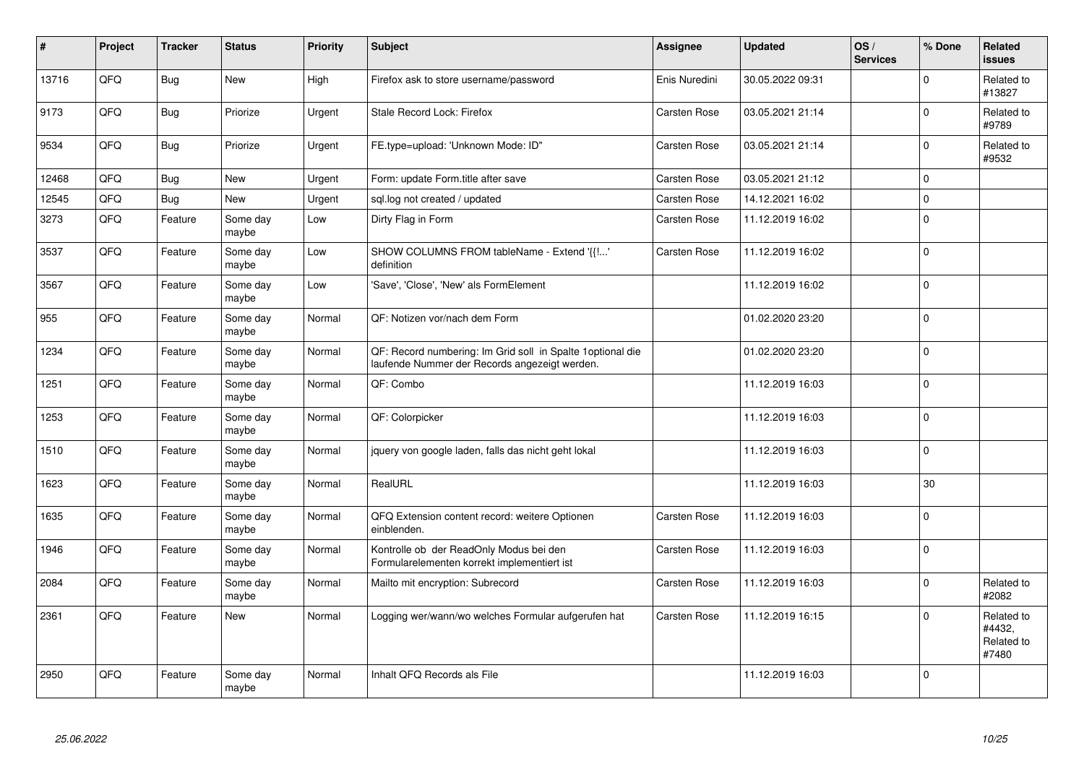| $\vert$ # | Project | <b>Tracker</b> | <b>Status</b>     | <b>Priority</b> | <b>Subject</b>                                                                                              | Assignee      | <b>Updated</b>   | OS/<br><b>Services</b> | % Done      | Related<br><b>issues</b>                    |
|-----------|---------|----------------|-------------------|-----------------|-------------------------------------------------------------------------------------------------------------|---------------|------------------|------------------------|-------------|---------------------------------------------|
| 13716     | QFQ     | <b>Bug</b>     | New               | High            | Firefox ask to store username/password                                                                      | Enis Nuredini | 30.05.2022 09:31 |                        | $\mathbf 0$ | Related to<br>#13827                        |
| 9173      | QFQ     | <b>Bug</b>     | Priorize          | Urgent          | Stale Record Lock: Firefox                                                                                  | Carsten Rose  | 03.05.2021 21:14 |                        | $\mathbf 0$ | Related to<br>#9789                         |
| 9534      | QFQ     | <b>Bug</b>     | Priorize          | Urgent          | FE.type=upload: 'Unknown Mode: ID"                                                                          | Carsten Rose  | 03.05.2021 21:14 |                        | $\mathsf 0$ | Related to<br>#9532                         |
| 12468     | QFQ     | Bug            | New               | Urgent          | Form: update Form.title after save                                                                          | Carsten Rose  | 03.05.2021 21:12 |                        | $\mathbf 0$ |                                             |
| 12545     | QFQ     | <b>Bug</b>     | New               | Urgent          | sql.log not created / updated                                                                               | Carsten Rose  | 14.12.2021 16:02 |                        | $\pmb{0}$   |                                             |
| 3273      | QFQ     | Feature        | Some day<br>maybe | Low             | Dirty Flag in Form                                                                                          | Carsten Rose  | 11.12.2019 16:02 |                        | $\mathbf 0$ |                                             |
| 3537      | QFQ     | Feature        | Some day<br>maybe | Low             | SHOW COLUMNS FROM tableName - Extend '{{!'<br>definition                                                    | Carsten Rose  | 11.12.2019 16:02 |                        | $\mathbf 0$ |                                             |
| 3567      | QFQ     | Feature        | Some day<br>maybe | Low             | 'Save', 'Close', 'New' als FormElement                                                                      |               | 11.12.2019 16:02 |                        | $\mathbf 0$ |                                             |
| 955       | QFQ     | Feature        | Some day<br>maybe | Normal          | QF: Notizen vor/nach dem Form                                                                               |               | 01.02.2020 23:20 |                        | $\mathbf 0$ |                                             |
| 1234      | QFQ     | Feature        | Some day<br>maybe | Normal          | QF: Record numbering: Im Grid soll in Spalte 1optional die<br>laufende Nummer der Records angezeigt werden. |               | 01.02.2020 23:20 |                        | $\mathbf 0$ |                                             |
| 1251      | QFQ     | Feature        | Some day<br>maybe | Normal          | QF: Combo                                                                                                   |               | 11.12.2019 16:03 |                        | $\pmb{0}$   |                                             |
| 1253      | QFQ     | Feature        | Some day<br>maybe | Normal          | QF: Colorpicker                                                                                             |               | 11.12.2019 16:03 |                        | $\pmb{0}$   |                                             |
| 1510      | QFQ     | Feature        | Some day<br>maybe | Normal          | jquery von google laden, falls das nicht geht lokal                                                         |               | 11.12.2019 16:03 |                        | $\mathbf 0$ |                                             |
| 1623      | QFQ     | Feature        | Some day<br>maybe | Normal          | RealURL                                                                                                     |               | 11.12.2019 16:03 |                        | 30          |                                             |
| 1635      | QFQ     | Feature        | Some day<br>maybe | Normal          | QFQ Extension content record: weitere Optionen<br>einblenden.                                               | Carsten Rose  | 11.12.2019 16:03 |                        | $\pmb{0}$   |                                             |
| 1946      | QFQ     | Feature        | Some day<br>maybe | Normal          | Kontrolle ob der ReadOnly Modus bei den<br>Formularelementen korrekt implementiert ist                      | Carsten Rose  | 11.12.2019 16:03 |                        | $\mathbf 0$ |                                             |
| 2084      | QFQ     | Feature        | Some day<br>maybe | Normal          | Mailto mit encryption: Subrecord                                                                            | Carsten Rose  | 11.12.2019 16:03 |                        | $\mathsf 0$ | Related to<br>#2082                         |
| 2361      | QFQ     | Feature        | <b>New</b>        | Normal          | Logging wer/wann/wo welches Formular aufgerufen hat                                                         | Carsten Rose  | 11.12.2019 16:15 |                        | $\mathbf 0$ | Related to<br>#4432,<br>Related to<br>#7480 |
| 2950      | QFQ     | Feature        | Some day<br>maybe | Normal          | Inhalt QFQ Records als File                                                                                 |               | 11.12.2019 16:03 |                        | $\mathsf 0$ |                                             |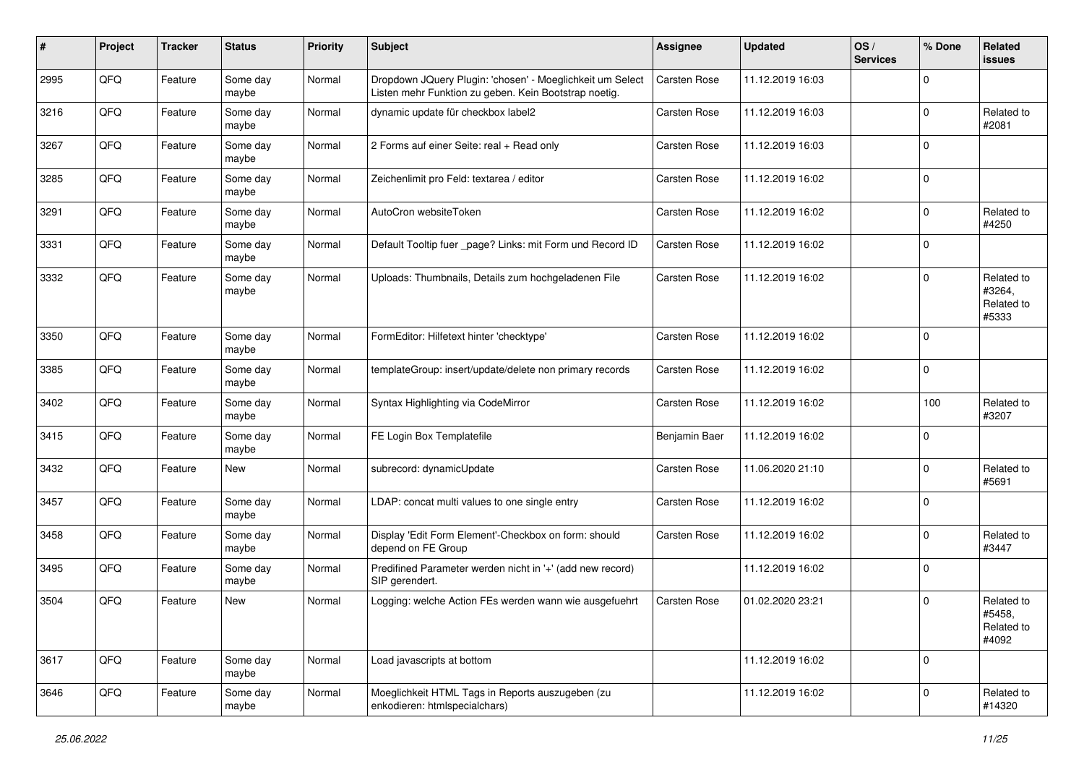| #    | Project | <b>Tracker</b> | <b>Status</b>     | <b>Priority</b> | Subject                                                                                                            | <b>Assignee</b> | <b>Updated</b>   | OS/<br><b>Services</b> | % Done         | Related<br>issues                           |
|------|---------|----------------|-------------------|-----------------|--------------------------------------------------------------------------------------------------------------------|-----------------|------------------|------------------------|----------------|---------------------------------------------|
| 2995 | QFQ     | Feature        | Some day<br>maybe | Normal          | Dropdown JQuery Plugin: 'chosen' - Moeglichkeit um Select<br>Listen mehr Funktion zu geben. Kein Bootstrap noetig. | Carsten Rose    | 11.12.2019 16:03 |                        | $\Omega$       |                                             |
| 3216 | QFQ     | Feature        | Some day<br>maybe | Normal          | dynamic update für checkbox label2                                                                                 | Carsten Rose    | 11.12.2019 16:03 |                        | $\Omega$       | Related to<br>#2081                         |
| 3267 | QFQ     | Feature        | Some day<br>maybe | Normal          | 2 Forms auf einer Seite: real + Read only                                                                          | Carsten Rose    | 11.12.2019 16:03 |                        | $\Omega$       |                                             |
| 3285 | QFQ     | Feature        | Some day<br>maybe | Normal          | Zeichenlimit pro Feld: textarea / editor                                                                           | Carsten Rose    | 11.12.2019 16:02 |                        | $\Omega$       |                                             |
| 3291 | QFQ     | Feature        | Some day<br>maybe | Normal          | AutoCron websiteToken                                                                                              | Carsten Rose    | 11.12.2019 16:02 |                        | $\Omega$       | Related to<br>#4250                         |
| 3331 | QFQ     | Feature        | Some day<br>maybe | Normal          | Default Tooltip fuer _page? Links: mit Form und Record ID                                                          | Carsten Rose    | 11.12.2019 16:02 |                        | $\Omega$       |                                             |
| 3332 | QFQ     | Feature        | Some day<br>maybe | Normal          | Uploads: Thumbnails, Details zum hochgeladenen File                                                                | Carsten Rose    | 11.12.2019 16:02 |                        | $\Omega$       | Related to<br>#3264,<br>Related to<br>#5333 |
| 3350 | QFQ     | Feature        | Some day<br>maybe | Normal          | FormEditor: Hilfetext hinter 'checktype'                                                                           | Carsten Rose    | 11.12.2019 16:02 |                        | $\Omega$       |                                             |
| 3385 | QFQ     | Feature        | Some day<br>maybe | Normal          | templateGroup: insert/update/delete non primary records                                                            | Carsten Rose    | 11.12.2019 16:02 |                        | $\Omega$       |                                             |
| 3402 | QFQ     | Feature        | Some day<br>maybe | Normal          | Syntax Highlighting via CodeMirror                                                                                 | Carsten Rose    | 11.12.2019 16:02 |                        | 100            | Related to<br>#3207                         |
| 3415 | QFQ     | Feature        | Some day<br>maybe | Normal          | FE Login Box Templatefile                                                                                          | Benjamin Baer   | 11.12.2019 16:02 |                        | $\overline{0}$ |                                             |
| 3432 | QFQ     | Feature        | New               | Normal          | subrecord: dynamicUpdate                                                                                           | Carsten Rose    | 11.06.2020 21:10 |                        | $\Omega$       | Related to<br>#5691                         |
| 3457 | QFQ     | Feature        | Some day<br>maybe | Normal          | LDAP: concat multi values to one single entry                                                                      | Carsten Rose    | 11.12.2019 16:02 |                        | $\Omega$       |                                             |
| 3458 | QFQ     | Feature        | Some day<br>maybe | Normal          | Display 'Edit Form Element'-Checkbox on form: should<br>depend on FE Group                                         | Carsten Rose    | 11.12.2019 16:02 |                        | $\Omega$       | Related to<br>#3447                         |
| 3495 | QFQ     | Feature        | Some day<br>maybe | Normal          | Predifined Parameter werden nicht in '+' (add new record)<br>SIP gerendert.                                        |                 | 11.12.2019 16:02 |                        | $\Omega$       |                                             |
| 3504 | QFQ     | Feature        | New               | Normal          | Logging: welche Action FEs werden wann wie ausgefuehrt                                                             | Carsten Rose    | 01.02.2020 23:21 |                        | $\Omega$       | Related to<br>#5458,<br>Related to<br>#4092 |
| 3617 | QFQ     | Feature        | Some day<br>maybe | Normal          | Load javascripts at bottom                                                                                         |                 | 11.12.2019 16:02 |                        | 0              |                                             |
| 3646 | QFQ     | Feature        | Some day<br>maybe | Normal          | Moeglichkeit HTML Tags in Reports auszugeben (zu<br>enkodieren: htmlspecialchars)                                  |                 | 11.12.2019 16:02 |                        | $\Omega$       | Related to<br>#14320                        |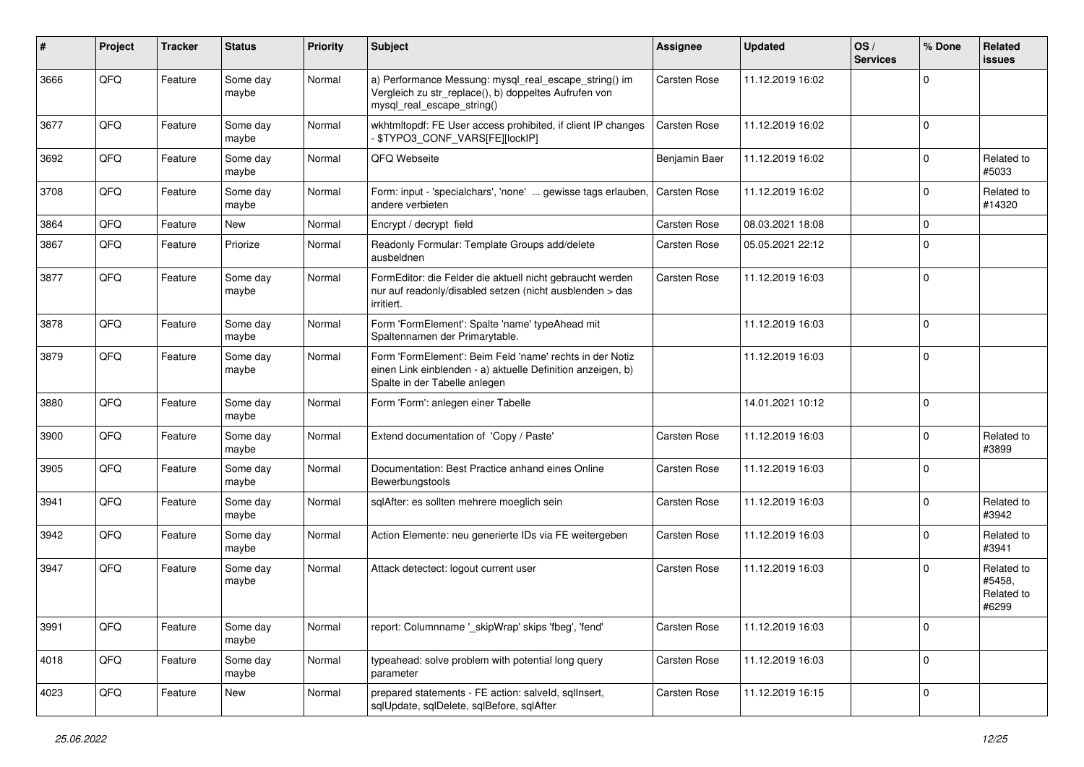| #    | Project | <b>Tracker</b> | <b>Status</b>     | <b>Priority</b> | <b>Subject</b>                                                                                                                                           | <b>Assignee</b>     | <b>Updated</b>   | OS/<br><b>Services</b> | % Done      | Related<br><b>issues</b>                    |
|------|---------|----------------|-------------------|-----------------|----------------------------------------------------------------------------------------------------------------------------------------------------------|---------------------|------------------|------------------------|-------------|---------------------------------------------|
| 3666 | QFQ     | Feature        | Some day<br>maybe | Normal          | a) Performance Messung: mysql_real_escape_string() im<br>Vergleich zu str_replace(), b) doppeltes Aufrufen von<br>mysql_real_escape_string()             | Carsten Rose        | 11.12.2019 16:02 |                        | $\Omega$    |                                             |
| 3677 | QFQ     | Feature        | Some day<br>maybe | Normal          | wkhtmltopdf: FE User access prohibited, if client IP changes<br>\$TYPO3_CONF_VARS[FE][lockIP]                                                            | <b>Carsten Rose</b> | 11.12.2019 16:02 |                        | $\mathbf 0$ |                                             |
| 3692 | QFQ     | Feature        | Some day<br>maybe | Normal          | QFQ Webseite                                                                                                                                             | Benjamin Baer       | 11.12.2019 16:02 |                        | $\Omega$    | Related to<br>#5033                         |
| 3708 | QFQ     | Feature        | Some day<br>maybe | Normal          | Form: input - 'specialchars', 'none'  gewisse tags erlauben,<br>andere verbieten                                                                         | <b>Carsten Rose</b> | 11.12.2019 16:02 |                        | 0           | Related to<br>#14320                        |
| 3864 | QFQ     | Feature        | New               | Normal          | Encrypt / decrypt field                                                                                                                                  | Carsten Rose        | 08.03.2021 18:08 |                        | $\mathbf 0$ |                                             |
| 3867 | QFQ     | Feature        | Priorize          | Normal          | Readonly Formular: Template Groups add/delete<br>ausbeldnen                                                                                              | Carsten Rose        | 05.05.2021 22:12 |                        | $\Omega$    |                                             |
| 3877 | QFQ     | Feature        | Some day<br>maybe | Normal          | FormEditor: die Felder die aktuell nicht gebraucht werden<br>nur auf readonly/disabled setzen (nicht ausblenden > das<br>irritiert.                      | <b>Carsten Rose</b> | 11.12.2019 16:03 |                        | $\Omega$    |                                             |
| 3878 | QFQ     | Feature        | Some day<br>maybe | Normal          | Form 'FormElement': Spalte 'name' typeAhead mit<br>Spaltennamen der Primarytable.                                                                        |                     | 11.12.2019 16:03 |                        | $\Omega$    |                                             |
| 3879 | QFQ     | Feature        | Some day<br>maybe | Normal          | Form 'FormElement': Beim Feld 'name' rechts in der Notiz<br>einen Link einblenden - a) aktuelle Definition anzeigen, b)<br>Spalte in der Tabelle anlegen |                     | 11.12.2019 16:03 |                        | $\Omega$    |                                             |
| 3880 | QFQ     | Feature        | Some day<br>maybe | Normal          | Form 'Form': anlegen einer Tabelle                                                                                                                       |                     | 14.01.2021 10:12 |                        | $\Omega$    |                                             |
| 3900 | QFQ     | Feature        | Some day<br>maybe | Normal          | Extend documentation of 'Copy / Paste'                                                                                                                   | <b>Carsten Rose</b> | 11.12.2019 16:03 |                        | $\Omega$    | Related to<br>#3899                         |
| 3905 | QFQ     | Feature        | Some day<br>maybe | Normal          | Documentation: Best Practice anhand eines Online<br>Bewerbungstools                                                                                      | <b>Carsten Rose</b> | 11.12.2019 16:03 |                        | $\Omega$    |                                             |
| 3941 | QFQ     | Feature        | Some day<br>maybe | Normal          | sqlAfter: es sollten mehrere moeglich sein                                                                                                               | Carsten Rose        | 11.12.2019 16:03 |                        | $\Omega$    | Related to<br>#3942                         |
| 3942 | QFQ     | Feature        | Some day<br>maybe | Normal          | Action Elemente: neu generierte IDs via FE weitergeben                                                                                                   | <b>Carsten Rose</b> | 11.12.2019 16:03 |                        | $\Omega$    | Related to<br>#3941                         |
| 3947 | QFQ     | Feature        | Some day<br>maybe | Normal          | Attack detectect: logout current user                                                                                                                    | <b>Carsten Rose</b> | 11.12.2019 16:03 |                        | $\Omega$    | Related to<br>#5458,<br>Related to<br>#6299 |
| 3991 | QFG     | Feature        | Some day<br>maybe | Normal          | report: Columnname '_skipWrap' skips 'fbeg', 'fend'                                                                                                      | Carsten Rose        | 11.12.2019 16:03 |                        | $\mathbf 0$ |                                             |
| 4018 | QFQ     | Feature        | Some day<br>maybe | Normal          | typeahead: solve problem with potential long query<br>parameter                                                                                          | Carsten Rose        | 11.12.2019 16:03 |                        | $\mathbf 0$ |                                             |
| 4023 | QFG     | Feature        | New               | Normal          | prepared statements - FE action: salveld, sqllnsert,<br>sqlUpdate, sqlDelete, sqlBefore, sqlAfter                                                        | Carsten Rose        | 11.12.2019 16:15 |                        | $\mathbf 0$ |                                             |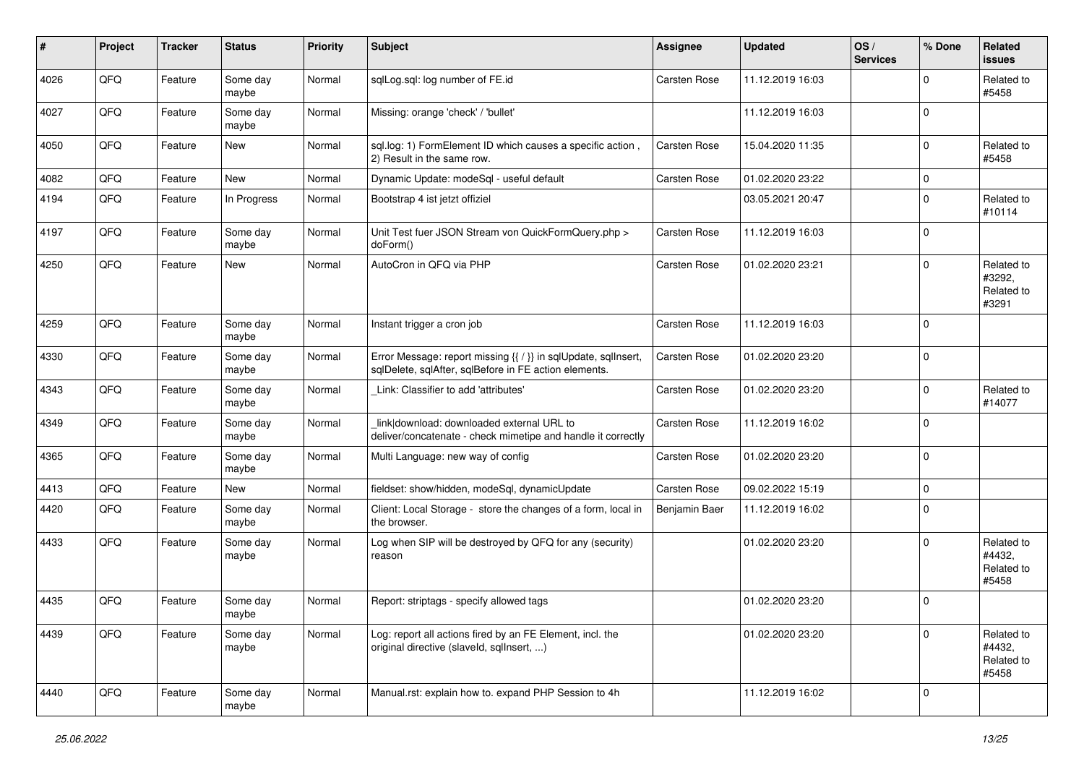| #    | Project | <b>Tracker</b> | <b>Status</b>     | <b>Priority</b> | Subject                                                                                                                 | <b>Assignee</b> | <b>Updated</b>   | OS/<br><b>Services</b> | % Done      | Related<br><b>issues</b>                    |
|------|---------|----------------|-------------------|-----------------|-------------------------------------------------------------------------------------------------------------------------|-----------------|------------------|------------------------|-------------|---------------------------------------------|
| 4026 | QFQ     | Feature        | Some day<br>maybe | Normal          | sqlLog.sql: log number of FE.id                                                                                         | Carsten Rose    | 11.12.2019 16:03 |                        | $\Omega$    | Related to<br>#5458                         |
| 4027 | QFQ     | Feature        | Some day<br>maybe | Normal          | Missing: orange 'check' / 'bullet'                                                                                      |                 | 11.12.2019 16:03 |                        | $\mathbf 0$ |                                             |
| 4050 | QFQ     | Feature        | New               | Normal          | sql.log: 1) FormElement ID which causes a specific action,<br>2) Result in the same row.                                | Carsten Rose    | 15.04.2020 11:35 |                        | $\mathbf 0$ | Related to<br>#5458                         |
| 4082 | QFQ     | Feature        | <b>New</b>        | Normal          | Dynamic Update: modeSql - useful default                                                                                | Carsten Rose    | 01.02.2020 23:22 |                        | $\mathbf 0$ |                                             |
| 4194 | QFQ     | Feature        | In Progress       | Normal          | Bootstrap 4 ist jetzt offiziel                                                                                          |                 | 03.05.2021 20:47 |                        | $\mathbf 0$ | Related to<br>#10114                        |
| 4197 | QFQ     | Feature        | Some day<br>maybe | Normal          | Unit Test fuer JSON Stream von QuickFormQuery.php ><br>doForm()                                                         | Carsten Rose    | 11.12.2019 16:03 |                        | $\mathbf 0$ |                                             |
| 4250 | QFQ     | Feature        | New               | Normal          | AutoCron in QFQ via PHP                                                                                                 | Carsten Rose    | 01.02.2020 23:21 |                        | $\mathbf 0$ | Related to<br>#3292,<br>Related to<br>#3291 |
| 4259 | QFQ     | Feature        | Some day<br>maybe | Normal          | Instant trigger a cron job                                                                                              | Carsten Rose    | 11.12.2019 16:03 |                        | $\mathbf 0$ |                                             |
| 4330 | QFQ     | Feature        | Some day<br>maybe | Normal          | Error Message: report missing {{ / }} in sqlUpdate, sqlInsert,<br>sqlDelete, sqlAfter, sqlBefore in FE action elements. | Carsten Rose    | 01.02.2020 23:20 |                        | $\mathbf 0$ |                                             |
| 4343 | QFQ     | Feature        | Some day<br>maybe | Normal          | Link: Classifier to add 'attributes'                                                                                    | Carsten Rose    | 01.02.2020 23:20 |                        | $\mathbf 0$ | Related to<br>#14077                        |
| 4349 | QFQ     | Feature        | Some day<br>maybe | Normal          | link download: downloaded external URL to<br>deliver/concatenate - check mimetipe and handle it correctly               | Carsten Rose    | 11.12.2019 16:02 |                        | $\Omega$    |                                             |
| 4365 | QFQ     | Feature        | Some day<br>maybe | Normal          | Multi Language: new way of config                                                                                       | Carsten Rose    | 01.02.2020 23:20 |                        | $\mathbf 0$ |                                             |
| 4413 | QFQ     | Feature        | New               | Normal          | fieldset: show/hidden, modeSql, dynamicUpdate                                                                           | Carsten Rose    | 09.02.2022 15:19 |                        | $\mathbf 0$ |                                             |
| 4420 | QFQ     | Feature        | Some day<br>maybe | Normal          | Client: Local Storage - store the changes of a form, local in<br>the browser.                                           | Benjamin Baer   | 11.12.2019 16:02 |                        | $\mathbf 0$ |                                             |
| 4433 | QFQ     | Feature        | Some day<br>maybe | Normal          | Log when SIP will be destroyed by QFQ for any (security)<br>reason                                                      |                 | 01.02.2020 23:20 |                        | $\Omega$    | Related to<br>#4432.<br>Related to<br>#5458 |
| 4435 | QFQ     | Feature        | Some day<br>maybe | Normal          | Report: striptags - specify allowed tags                                                                                |                 | 01.02.2020 23:20 |                        | $\mathbf 0$ |                                             |
| 4439 | QFQ     | Feature        | Some day<br>maybe | Normal          | Log: report all actions fired by an FE Element, incl. the<br>original directive (slaveld, sqlInsert, )                  |                 | 01.02.2020 23:20 |                        | $\Omega$    | Related to<br>#4432,<br>Related to<br>#5458 |
| 4440 | QFQ     | Feature        | Some day<br>maybe | Normal          | Manual.rst: explain how to. expand PHP Session to 4h                                                                    |                 | 11.12.2019 16:02 |                        | $\Omega$    |                                             |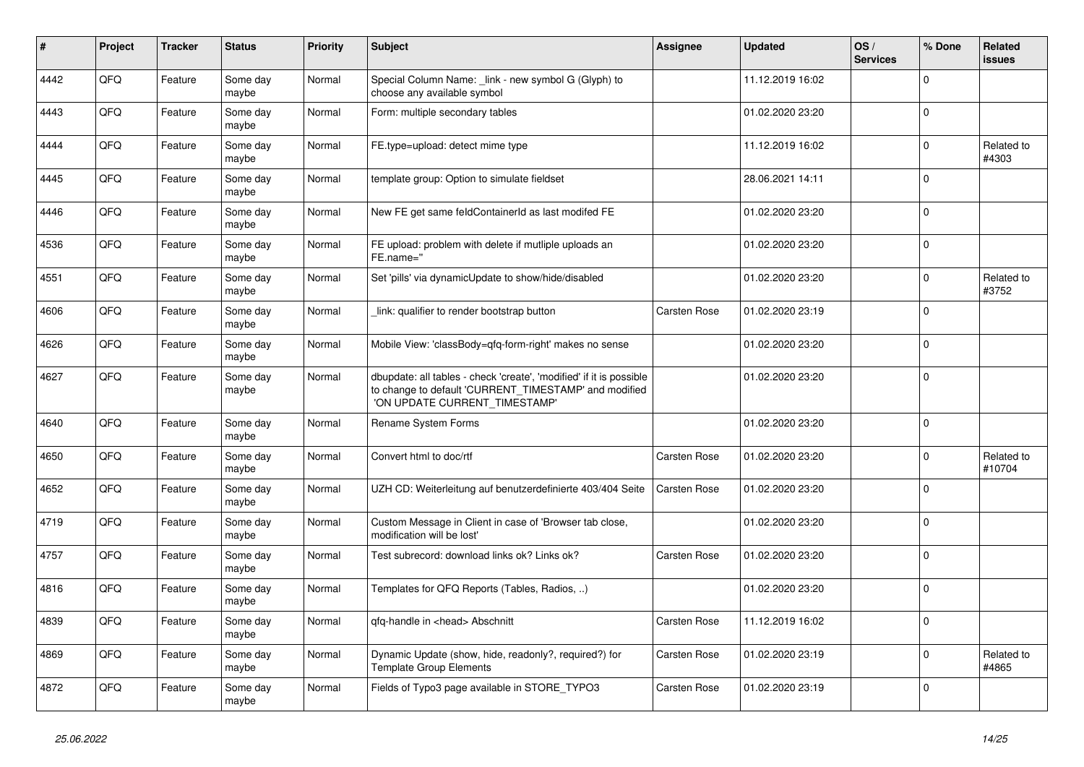| $\pmb{\sharp}$ | Project | <b>Tracker</b> | <b>Status</b>     | <b>Priority</b> | <b>Subject</b>                                                                                                                                                | Assignee     | <b>Updated</b>   | OS/<br><b>Services</b> | % Done      | Related<br><b>issues</b> |
|----------------|---------|----------------|-------------------|-----------------|---------------------------------------------------------------------------------------------------------------------------------------------------------------|--------------|------------------|------------------------|-------------|--------------------------|
| 4442           | QFQ     | Feature        | Some day<br>maybe | Normal          | Special Column Name: _link - new symbol G (Glyph) to<br>choose any available symbol                                                                           |              | 11.12.2019 16:02 |                        | $\Omega$    |                          |
| 4443           | QFQ     | Feature        | Some day<br>maybe | Normal          | Form: multiple secondary tables                                                                                                                               |              | 01.02.2020 23:20 |                        | $\Omega$    |                          |
| 4444           | QFQ     | Feature        | Some day<br>maybe | Normal          | FE.type=upload: detect mime type                                                                                                                              |              | 11.12.2019 16:02 |                        | $\Omega$    | Related to<br>#4303      |
| 4445           | QFQ     | Feature        | Some day<br>maybe | Normal          | template group: Option to simulate fieldset                                                                                                                   |              | 28.06.2021 14:11 |                        | $\Omega$    |                          |
| 4446           | QFQ     | Feature        | Some day<br>maybe | Normal          | New FE get same feldContainerId as last modifed FE                                                                                                            |              | 01.02.2020 23:20 |                        | $\mathbf 0$ |                          |
| 4536           | QFQ     | Feature        | Some day<br>maybe | Normal          | FE upload: problem with delete if mutliple uploads an<br>FE.name="                                                                                            |              | 01.02.2020 23:20 |                        | $\Omega$    |                          |
| 4551           | QFQ     | Feature        | Some day<br>maybe | Normal          | Set 'pills' via dynamicUpdate to show/hide/disabled                                                                                                           |              | 01.02.2020 23:20 |                        | $\Omega$    | Related to<br>#3752      |
| 4606           | QFQ     | Feature        | Some day<br>maybe | Normal          | link: qualifier to render bootstrap button                                                                                                                    | Carsten Rose | 01.02.2020 23:19 |                        | $\Omega$    |                          |
| 4626           | QFQ     | Feature        | Some day<br>maybe | Normal          | Mobile View: 'classBody=qfq-form-right' makes no sense                                                                                                        |              | 01.02.2020 23:20 |                        | $\Omega$    |                          |
| 4627           | QFQ     | Feature        | Some day<br>maybe | Normal          | dbupdate: all tables - check 'create', 'modified' if it is possible<br>to change to default 'CURRENT_TIMESTAMP' and modified<br>'ON UPDATE CURRENT TIMESTAMP' |              | 01.02.2020 23:20 |                        | $\mathbf 0$ |                          |
| 4640           | QFQ     | Feature        | Some day<br>maybe | Normal          | <b>Rename System Forms</b>                                                                                                                                    |              | 01.02.2020 23:20 |                        | $\Omega$    |                          |
| 4650           | QFQ     | Feature        | Some day<br>maybe | Normal          | Convert html to doc/rtf                                                                                                                                       | Carsten Rose | 01.02.2020 23:20 |                        | $\Omega$    | Related to<br>#10704     |
| 4652           | QFQ     | Feature        | Some day<br>maybe | Normal          | UZH CD: Weiterleitung auf benutzerdefinierte 403/404 Seite                                                                                                    | Carsten Rose | 01.02.2020 23:20 |                        | $\Omega$    |                          |
| 4719           | QFQ     | Feature        | Some day<br>maybe | Normal          | Custom Message in Client in case of 'Browser tab close,<br>modification will be lost'                                                                         |              | 01.02.2020 23:20 |                        | $\Omega$    |                          |
| 4757           | QFQ     | Feature        | Some day<br>maybe | Normal          | Test subrecord: download links ok? Links ok?                                                                                                                  | Carsten Rose | 01.02.2020 23:20 |                        | $\Omega$    |                          |
| 4816           | QFQ     | Feature        | Some day<br>maybe | Normal          | Templates for QFQ Reports (Tables, Radios, )                                                                                                                  |              | 01.02.2020 23:20 |                        | $\mathbf 0$ |                          |
| 4839           | QFQ     | Feature        | Some day<br>maybe | Normal          | qfq-handle in <head> Abschnitt</head>                                                                                                                         | Carsten Rose | 11.12.2019 16:02 |                        | $\Omega$    |                          |
| 4869           | QFQ     | Feature        | Some day<br>maybe | Normal          | Dynamic Update (show, hide, readonly?, required?) for<br><b>Template Group Elements</b>                                                                       | Carsten Rose | 01.02.2020 23:19 |                        | $\Omega$    | Related to<br>#4865      |
| 4872           | QFQ     | Feature        | Some day<br>maybe | Normal          | Fields of Typo3 page available in STORE_TYPO3                                                                                                                 | Carsten Rose | 01.02.2020 23:19 |                        | $\Omega$    |                          |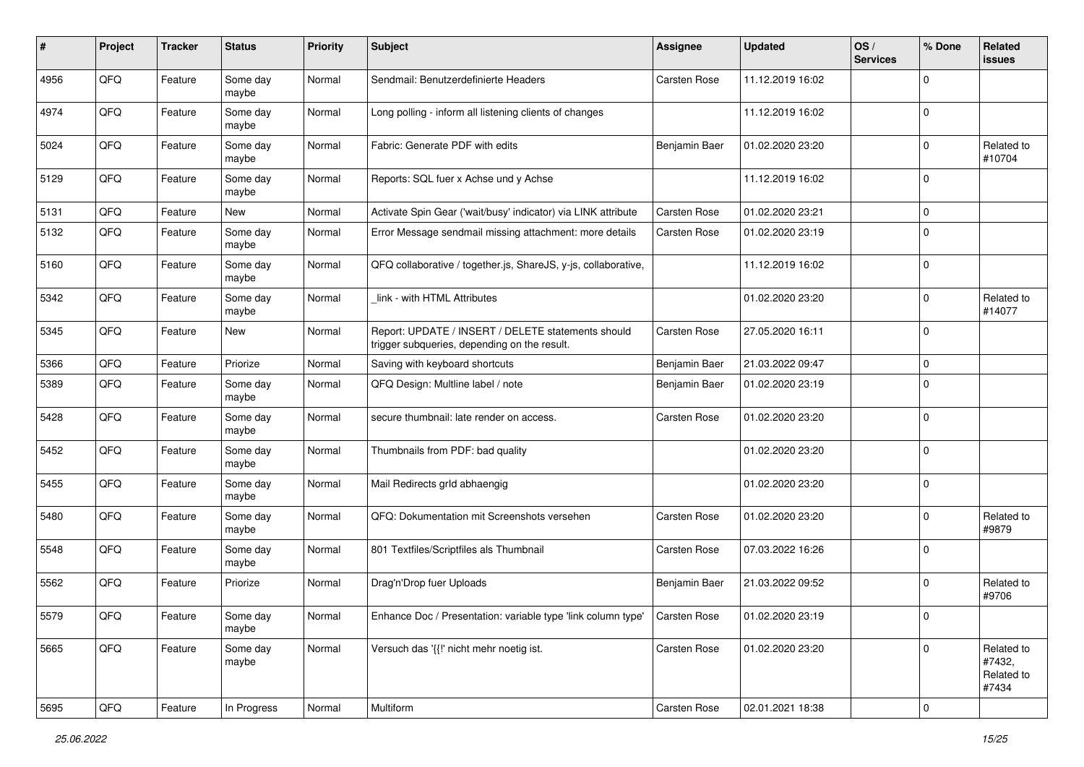| #    | Project | <b>Tracker</b> | <b>Status</b>     | <b>Priority</b> | Subject                                                                                            | <b>Assignee</b> | <b>Updated</b>   | OS/<br><b>Services</b> | % Done         | Related<br><b>issues</b>                    |
|------|---------|----------------|-------------------|-----------------|----------------------------------------------------------------------------------------------------|-----------------|------------------|------------------------|----------------|---------------------------------------------|
| 4956 | QFQ     | Feature        | Some day<br>maybe | Normal          | Sendmail: Benutzerdefinierte Headers                                                               | Carsten Rose    | 11.12.2019 16:02 |                        | $\Omega$       |                                             |
| 4974 | QFQ     | Feature        | Some day<br>maybe | Normal          | Long polling - inform all listening clients of changes                                             |                 | 11.12.2019 16:02 |                        | $\mathbf 0$    |                                             |
| 5024 | QFQ     | Feature        | Some day<br>maybe | Normal          | Fabric: Generate PDF with edits                                                                    | Benjamin Baer   | 01.02.2020 23:20 |                        | $\Omega$       | Related to<br>#10704                        |
| 5129 | QFQ     | Feature        | Some day<br>maybe | Normal          | Reports: SQL fuer x Achse und y Achse                                                              |                 | 11.12.2019 16:02 |                        | $\Omega$       |                                             |
| 5131 | QFQ     | Feature        | New               | Normal          | Activate Spin Gear ('wait/busy' indicator) via LINK attribute                                      | Carsten Rose    | 01.02.2020 23:21 |                        | $\mathbf 0$    |                                             |
| 5132 | QFQ     | Feature        | Some day<br>maybe | Normal          | Error Message sendmail missing attachment: more details                                            | Carsten Rose    | 01.02.2020 23:19 |                        | $\Omega$       |                                             |
| 5160 | QFQ     | Feature        | Some day<br>maybe | Normal          | QFQ collaborative / together.js, ShareJS, y-js, collaborative,                                     |                 | 11.12.2019 16:02 |                        | $\mathbf 0$    |                                             |
| 5342 | QFQ     | Feature        | Some day<br>maybe | Normal          | link - with HTML Attributes                                                                        |                 | 01.02.2020 23:20 |                        | $\Omega$       | Related to<br>#14077                        |
| 5345 | QFQ     | Feature        | New               | Normal          | Report: UPDATE / INSERT / DELETE statements should<br>trigger subqueries, depending on the result. | Carsten Rose    | 27.05.2020 16:11 |                        | $\Omega$       |                                             |
| 5366 | QFQ     | Feature        | Priorize          | Normal          | Saving with keyboard shortcuts                                                                     | Benjamin Baer   | 21.03.2022 09:47 |                        | 0              |                                             |
| 5389 | QFQ     | Feature        | Some day<br>maybe | Normal          | QFQ Design: Multline label / note                                                                  | Benjamin Baer   | 01.02.2020 23:19 |                        | $\Omega$       |                                             |
| 5428 | QFQ     | Feature        | Some day<br>maybe | Normal          | secure thumbnail: late render on access.                                                           | Carsten Rose    | 01.02.2020 23:20 |                        | $\mathbf 0$    |                                             |
| 5452 | QFQ     | Feature        | Some day<br>maybe | Normal          | Thumbnails from PDF: bad quality                                                                   |                 | 01.02.2020 23:20 |                        | $\mathbf 0$    |                                             |
| 5455 | QFQ     | Feature        | Some day<br>maybe | Normal          | Mail Redirects grld abhaengig                                                                      |                 | 01.02.2020 23:20 |                        | $\mathbf 0$    |                                             |
| 5480 | QFQ     | Feature        | Some day<br>maybe | Normal          | QFQ: Dokumentation mit Screenshots versehen                                                        | Carsten Rose    | 01.02.2020 23:20 |                        | $\Omega$       | Related to<br>#9879                         |
| 5548 | QFQ     | Feature        | Some day<br>maybe | Normal          | 801 Textfiles/Scriptfiles als Thumbnail                                                            | Carsten Rose    | 07.03.2022 16:26 |                        | $\Omega$       |                                             |
| 5562 | QFQ     | Feature        | Priorize          | Normal          | Drag'n'Drop fuer Uploads                                                                           | Benjamin Baer   | 21.03.2022 09:52 |                        | $\mathbf 0$    | Related to<br>#9706                         |
| 5579 | QFQ     | Feature        | Some day<br>maybe | Normal          | Enhance Doc / Presentation: variable type 'link column type'                                       | Carsten Rose    | 01.02.2020 23:19 |                        | O              |                                             |
| 5665 | QFQ     | Feature        | Some day<br>maybe | Normal          | Versuch das '{{!' nicht mehr noetig ist.                                                           | Carsten Rose    | 01.02.2020 23:20 |                        | $\mathbf 0$    | Related to<br>#7432,<br>Related to<br>#7434 |
| 5695 | QFG     | Feature        | In Progress       | Normal          | Multiform                                                                                          | Carsten Rose    | 02.01.2021 18:38 |                        | $\overline{0}$ |                                             |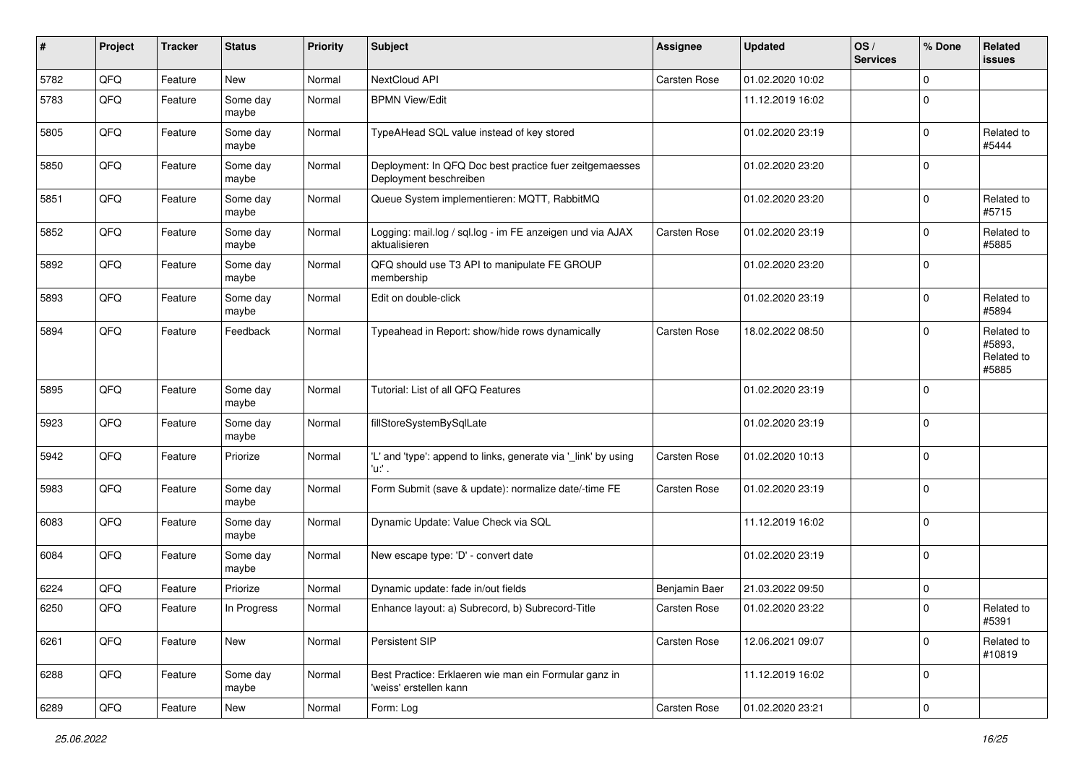| $\#$ | Project | <b>Tracker</b> | <b>Status</b>     | <b>Priority</b> | <b>Subject</b>                                                                    | <b>Assignee</b> | <b>Updated</b>   | OS/<br><b>Services</b> | % Done      | Related<br><b>issues</b>                    |
|------|---------|----------------|-------------------|-----------------|-----------------------------------------------------------------------------------|-----------------|------------------|------------------------|-------------|---------------------------------------------|
| 5782 | QFQ     | Feature        | <b>New</b>        | Normal          | NextCloud API                                                                     | Carsten Rose    | 01.02.2020 10:02 |                        | $\mathbf 0$ |                                             |
| 5783 | QFQ     | Feature        | Some day<br>maybe | Normal          | <b>BPMN View/Edit</b>                                                             |                 | 11.12.2019 16:02 |                        | $\mathbf 0$ |                                             |
| 5805 | QFQ     | Feature        | Some day<br>maybe | Normal          | TypeAHead SQL value instead of key stored                                         |                 | 01.02.2020 23:19 |                        | $\mathbf 0$ | Related to<br>#5444                         |
| 5850 | QFQ     | Feature        | Some day<br>maybe | Normal          | Deployment: In QFQ Doc best practice fuer zeitgemaesses<br>Deployment beschreiben |                 | 01.02.2020 23:20 |                        | $\mathbf 0$ |                                             |
| 5851 | QFQ     | Feature        | Some day<br>maybe | Normal          | Queue System implementieren: MQTT, RabbitMQ                                       |                 | 01.02.2020 23:20 |                        | $\mathbf 0$ | Related to<br>#5715                         |
| 5852 | QFQ     | Feature        | Some day<br>maybe | Normal          | Logging: mail.log / sql.log - im FE anzeigen und via AJAX<br>aktualisieren        | Carsten Rose    | 01.02.2020 23:19 |                        | $\mathbf 0$ | Related to<br>#5885                         |
| 5892 | QFQ     | Feature        | Some day<br>maybe | Normal          | QFQ should use T3 API to manipulate FE GROUP<br>membership                        |                 | 01.02.2020 23:20 |                        | $\mathbf 0$ |                                             |
| 5893 | QFQ     | Feature        | Some day<br>maybe | Normal          | Edit on double-click                                                              |                 | 01.02.2020 23:19 |                        | $\mathbf 0$ | Related to<br>#5894                         |
| 5894 | QFQ     | Feature        | Feedback          | Normal          | Typeahead in Report: show/hide rows dynamically                                   | Carsten Rose    | 18.02.2022 08:50 |                        | $\mathbf 0$ | Related to<br>#5893,<br>Related to<br>#5885 |
| 5895 | QFQ     | Feature        | Some day<br>maybe | Normal          | Tutorial: List of all QFQ Features                                                |                 | 01.02.2020 23:19 |                        | $\mathbf 0$ |                                             |
| 5923 | QFQ     | Feature        | Some day<br>maybe | Normal          | fillStoreSystemBySqlLate                                                          |                 | 01.02.2020 23:19 |                        | $\mathbf 0$ |                                             |
| 5942 | QFQ     | Feature        | Priorize          | Normal          | 'L' and 'type': append to links, generate via '_link' by using<br>'u:' .          | Carsten Rose    | 01.02.2020 10:13 |                        | $\mathbf 0$ |                                             |
| 5983 | QFQ     | Feature        | Some day<br>maybe | Normal          | Form Submit (save & update): normalize date/-time FE                              | Carsten Rose    | 01.02.2020 23:19 |                        | $\mathbf 0$ |                                             |
| 6083 | QFQ     | Feature        | Some day<br>maybe | Normal          | Dynamic Update: Value Check via SQL                                               |                 | 11.12.2019 16:02 |                        | $\mathbf 0$ |                                             |
| 6084 | QFQ     | Feature        | Some day<br>maybe | Normal          | New escape type: 'D' - convert date                                               |                 | 01.02.2020 23:19 |                        | $\mathbf 0$ |                                             |
| 6224 | QFQ     | Feature        | Priorize          | Normal          | Dynamic update: fade in/out fields                                                | Benjamin Baer   | 21.03.2022 09:50 |                        | $\mathbf 0$ |                                             |
| 6250 | QFQ     | Feature        | In Progress       | Normal          | Enhance layout: a) Subrecord, b) Subrecord-Title                                  | Carsten Rose    | 01.02.2020 23:22 |                        | $\mathbf 0$ | Related to<br>#5391                         |
| 6261 | QFQ     | Feature        | New               | Normal          | Persistent SIP                                                                    | Carsten Rose    | 12.06.2021 09:07 |                        | $\mathbf 0$ | Related to<br>#10819                        |
| 6288 | QFQ     | Feature        | Some day<br>maybe | Normal          | Best Practice: Erklaeren wie man ein Formular ganz in<br>'weiss' erstellen kann   |                 | 11.12.2019 16:02 |                        | $\mathbf 0$ |                                             |
| 6289 | QFQ     | Feature        | New               | Normal          | Form: Log                                                                         | Carsten Rose    | 01.02.2020 23:21 |                        | 0           |                                             |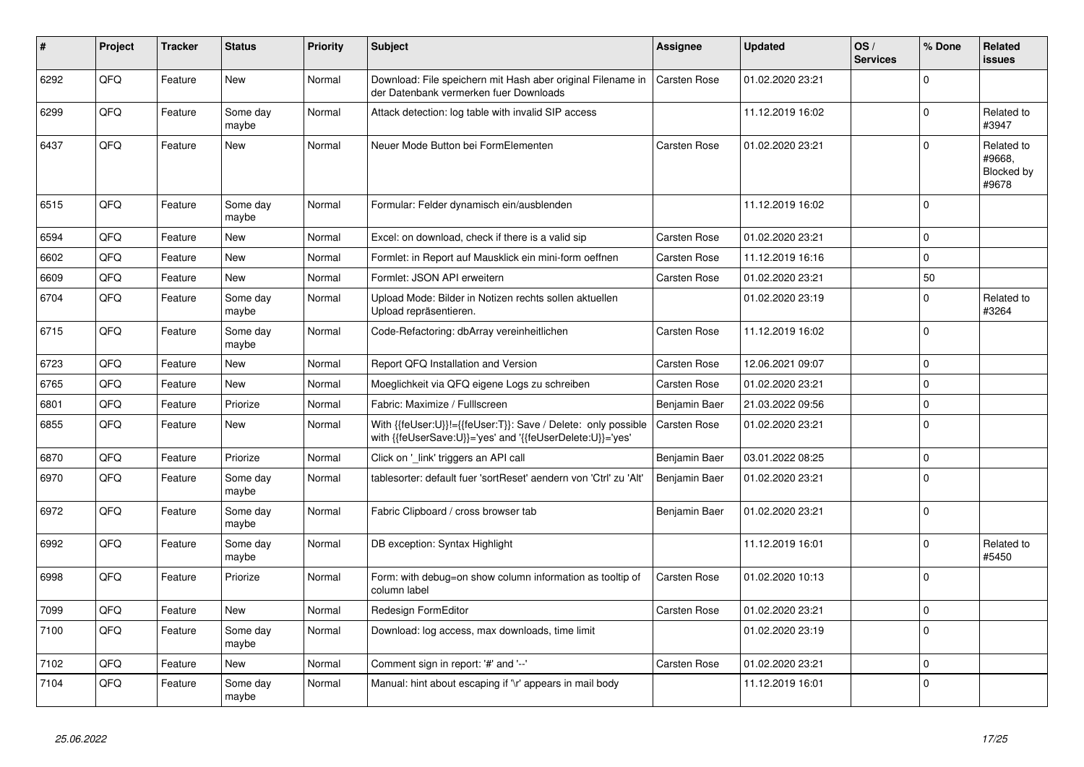| #    | Project | <b>Tracker</b> | <b>Status</b>     | <b>Priority</b> | <b>Subject</b>                                                                                                             | <b>Assignee</b>     | <b>Updated</b>   | OS/<br><b>Services</b> | % Done      | Related<br><b>issues</b>                    |
|------|---------|----------------|-------------------|-----------------|----------------------------------------------------------------------------------------------------------------------------|---------------------|------------------|------------------------|-------------|---------------------------------------------|
| 6292 | QFQ     | Feature        | <b>New</b>        | Normal          | Download: File speichern mit Hash aber original Filename in<br>der Datenbank vermerken fuer Downloads                      | <b>Carsten Rose</b> | 01.02.2020 23:21 |                        | $\Omega$    |                                             |
| 6299 | QFQ     | Feature        | Some day<br>maybe | Normal          | Attack detection: log table with invalid SIP access                                                                        |                     | 11.12.2019 16:02 |                        | $\Omega$    | Related to<br>#3947                         |
| 6437 | QFQ     | Feature        | New               | Normal          | Neuer Mode Button bei FormElementen                                                                                        | Carsten Rose        | 01.02.2020 23:21 |                        | $\Omega$    | Related to<br>#9668.<br>Blocked by<br>#9678 |
| 6515 | QFQ     | Feature        | Some day<br>maybe | Normal          | Formular: Felder dynamisch ein/ausblenden                                                                                  |                     | 11.12.2019 16:02 |                        | $\Omega$    |                                             |
| 6594 | QFQ     | Feature        | New               | Normal          | Excel: on download, check if there is a valid sip                                                                          | Carsten Rose        | 01.02.2020 23:21 |                        | $\Omega$    |                                             |
| 6602 | QFQ     | Feature        | <b>New</b>        | Normal          | Formlet: in Report auf Mausklick ein mini-form oeffnen                                                                     | Carsten Rose        | 11.12.2019 16:16 |                        | $\Omega$    |                                             |
| 6609 | QFQ     | Feature        | New               | Normal          | Formlet: JSON API erweitern                                                                                                | Carsten Rose        | 01.02.2020 23:21 |                        | 50          |                                             |
| 6704 | QFQ     | Feature        | Some day<br>maybe | Normal          | Upload Mode: Bilder in Notizen rechts sollen aktuellen<br>Upload repräsentieren.                                           |                     | 01.02.2020 23:19 |                        | $\Omega$    | Related to<br>#3264                         |
| 6715 | QFQ     | Feature        | Some day<br>maybe | Normal          | Code-Refactoring: dbArray vereinheitlichen                                                                                 | Carsten Rose        | 11.12.2019 16:02 |                        | $\Omega$    |                                             |
| 6723 | QFQ     | Feature        | <b>New</b>        | Normal          | Report QFQ Installation and Version                                                                                        | Carsten Rose        | 12.06.2021 09:07 |                        | $\mathbf 0$ |                                             |
| 6765 | QFQ     | Feature        | <b>New</b>        | Normal          | Moeglichkeit via QFQ eigene Logs zu schreiben                                                                              | Carsten Rose        | 01.02.2020 23:21 |                        | $\Omega$    |                                             |
| 6801 | QFQ     | Feature        | Priorize          | Normal          | Fabric: Maximize / FullIscreen                                                                                             | Benjamin Baer       | 21.03.2022 09:56 |                        | $\Omega$    |                                             |
| 6855 | QFQ     | Feature        | <b>New</b>        | Normal          | With {{feUser:U}}!={{feUser:T}}: Save / Delete: only possible<br>with {{feUserSave:U}}='yes' and '{{feUserDelete:U}}='yes' | <b>Carsten Rose</b> | 01.02.2020 23:21 |                        | $\Omega$    |                                             |
| 6870 | QFQ     | Feature        | Priorize          | Normal          | Click on '_link' triggers an API call                                                                                      | Benjamin Baer       | 03.01.2022 08:25 |                        | $\Omega$    |                                             |
| 6970 | QFQ     | Feature        | Some day<br>maybe | Normal          | tablesorter: default fuer 'sortReset' aendern von 'Ctrl' zu 'Alt'                                                          | Benjamin Baer       | 01.02.2020 23:21 |                        | $\Omega$    |                                             |
| 6972 | QFQ     | Feature        | Some day<br>maybe | Normal          | Fabric Clipboard / cross browser tab                                                                                       | Benjamin Baer       | 01.02.2020 23:21 |                        | $\Omega$    |                                             |
| 6992 | QFQ     | Feature        | Some day<br>maybe | Normal          | DB exception: Syntax Highlight                                                                                             |                     | 11.12.2019 16:01 |                        | $\Omega$    | Related to<br>#5450                         |
| 6998 | QFQ     | Feature        | Priorize          | Normal          | Form: with debug=on show column information as tooltip of<br>column label                                                  | Carsten Rose        | 01.02.2020 10:13 |                        | $\Omega$    |                                             |
| 7099 | QFQ     | Feature        | <b>New</b>        | Normal          | Redesign FormEditor                                                                                                        | Carsten Rose        | 01.02.2020 23:21 |                        | $\Omega$    |                                             |
| 7100 | QFQ     | Feature        | Some day<br>maybe | Normal          | Download: log access, max downloads, time limit                                                                            |                     | 01.02.2020 23:19 |                        | $\Omega$    |                                             |
| 7102 | QFQ     | Feature        | New               | Normal          | Comment sign in report: '#' and '--'                                                                                       | Carsten Rose        | 01.02.2020 23:21 |                        | $\Omega$    |                                             |
| 7104 | QFQ     | Feature        | Some dav<br>maybe | Normal          | Manual: hint about escaping if '\r' appears in mail body                                                                   |                     | 11.12.2019 16:01 |                        | $\Omega$    |                                             |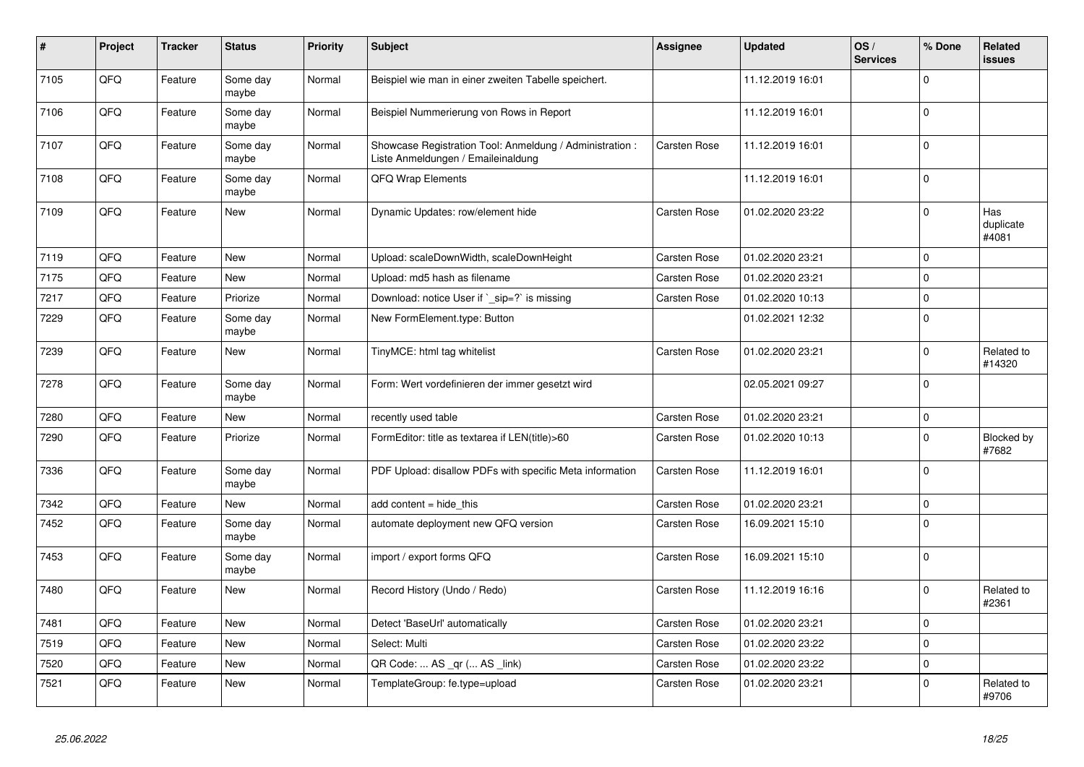| $\vert$ # | Project | <b>Tracker</b> | <b>Status</b>     | <b>Priority</b> | <b>Subject</b>                                                                                 | <b>Assignee</b> | <b>Updated</b>   | OS/<br><b>Services</b> | % Done      | <b>Related</b><br>issues  |
|-----------|---------|----------------|-------------------|-----------------|------------------------------------------------------------------------------------------------|-----------------|------------------|------------------------|-------------|---------------------------|
| 7105      | QFQ     | Feature        | Some day<br>maybe | Normal          | Beispiel wie man in einer zweiten Tabelle speichert.                                           |                 | 11.12.2019 16:01 |                        | $\Omega$    |                           |
| 7106      | QFQ     | Feature        | Some day<br>maybe | Normal          | Beispiel Nummerierung von Rows in Report                                                       |                 | 11.12.2019 16:01 |                        | $\Omega$    |                           |
| 7107      | QFQ     | Feature        | Some day<br>maybe | Normal          | Showcase Registration Tool: Anmeldung / Administration :<br>Liste Anmeldungen / Emaileinaldung | Carsten Rose    | 11.12.2019 16:01 |                        | $\mathbf 0$ |                           |
| 7108      | QFQ     | Feature        | Some day<br>maybe | Normal          | QFQ Wrap Elements                                                                              |                 | 11.12.2019 16:01 |                        | $\Omega$    |                           |
| 7109      | QFQ     | Feature        | New               | Normal          | Dynamic Updates: row/element hide                                                              | Carsten Rose    | 01.02.2020 23:22 |                        | $\Omega$    | Has<br>duplicate<br>#4081 |
| 7119      | QFQ     | Feature        | New               | Normal          | Upload: scaleDownWidth, scaleDownHeight                                                        | Carsten Rose    | 01.02.2020 23:21 |                        | $\Omega$    |                           |
| 7175      | QFQ     | Feature        | New               | Normal          | Upload: md5 hash as filename                                                                   | Carsten Rose    | 01.02.2020 23:21 |                        | $\Omega$    |                           |
| 7217      | QFQ     | Feature        | Priorize          | Normal          | Download: notice User if ` sip=?` is missing                                                   | Carsten Rose    | 01.02.2020 10:13 |                        | $\mathbf 0$ |                           |
| 7229      | QFQ     | Feature        | Some day<br>maybe | Normal          | New FormElement.type: Button                                                                   |                 | 01.02.2021 12:32 |                        | $\mathbf 0$ |                           |
| 7239      | QFQ     | Feature        | New               | Normal          | TinyMCE: html tag whitelist                                                                    | Carsten Rose    | 01.02.2020 23:21 |                        | $\Omega$    | Related to<br>#14320      |
| 7278      | QFQ     | Feature        | Some day<br>maybe | Normal          | Form: Wert vordefinieren der immer gesetzt wird                                                |                 | 02.05.2021 09:27 |                        | $\Omega$    |                           |
| 7280      | QFQ     | Feature        | <b>New</b>        | Normal          | recently used table                                                                            | Carsten Rose    | 01.02.2020 23:21 |                        | $\mathbf 0$ |                           |
| 7290      | QFQ     | Feature        | Priorize          | Normal          | FormEditor: title as textarea if LEN(title)>60                                                 | Carsten Rose    | 01.02.2020 10:13 |                        | $\Omega$    | Blocked by<br>#7682       |
| 7336      | QFQ     | Feature        | Some day<br>maybe | Normal          | PDF Upload: disallow PDFs with specific Meta information                                       | Carsten Rose    | 11.12.2019 16:01 |                        | $\Omega$    |                           |
| 7342      | QFQ     | Feature        | New               | Normal          | add content = hide_this                                                                        | Carsten Rose    | 01.02.2020 23:21 |                        | 0           |                           |
| 7452      | QFQ     | Feature        | Some day<br>maybe | Normal          | automate deployment new QFQ version                                                            | Carsten Rose    | 16.09.2021 15:10 |                        | $\Omega$    |                           |
| 7453      | QFQ     | Feature        | Some day<br>maybe | Normal          | import / export forms QFQ                                                                      | Carsten Rose    | 16.09.2021 15:10 |                        | $\Omega$    |                           |
| 7480      | QFQ     | Feature        | New               | Normal          | Record History (Undo / Redo)                                                                   | Carsten Rose    | 11.12.2019 16:16 |                        | $\Omega$    | Related to<br>#2361       |
| 7481      | QFQ     | Feature        | <b>New</b>        | Normal          | Detect 'BaseUrl' automatically                                                                 | Carsten Rose    | 01.02.2020 23:21 |                        | $\Omega$    |                           |
| 7519      | QFQ     | Feature        | New               | Normal          | Select: Multi                                                                                  | Carsten Rose    | 01.02.2020 23:22 |                        | $\mathbf 0$ |                           |
| 7520      | QFQ     | Feature        | New               | Normal          | QR Code:  AS _qr ( AS _link)                                                                   | Carsten Rose    | 01.02.2020 23:22 |                        | $\Omega$    |                           |
| 7521      | QFQ     | Feature        | New               | Normal          | TemplateGroup: fe.type=upload                                                                  | Carsten Rose    | 01.02.2020 23:21 |                        | $\Omega$    | Related to<br>#9706       |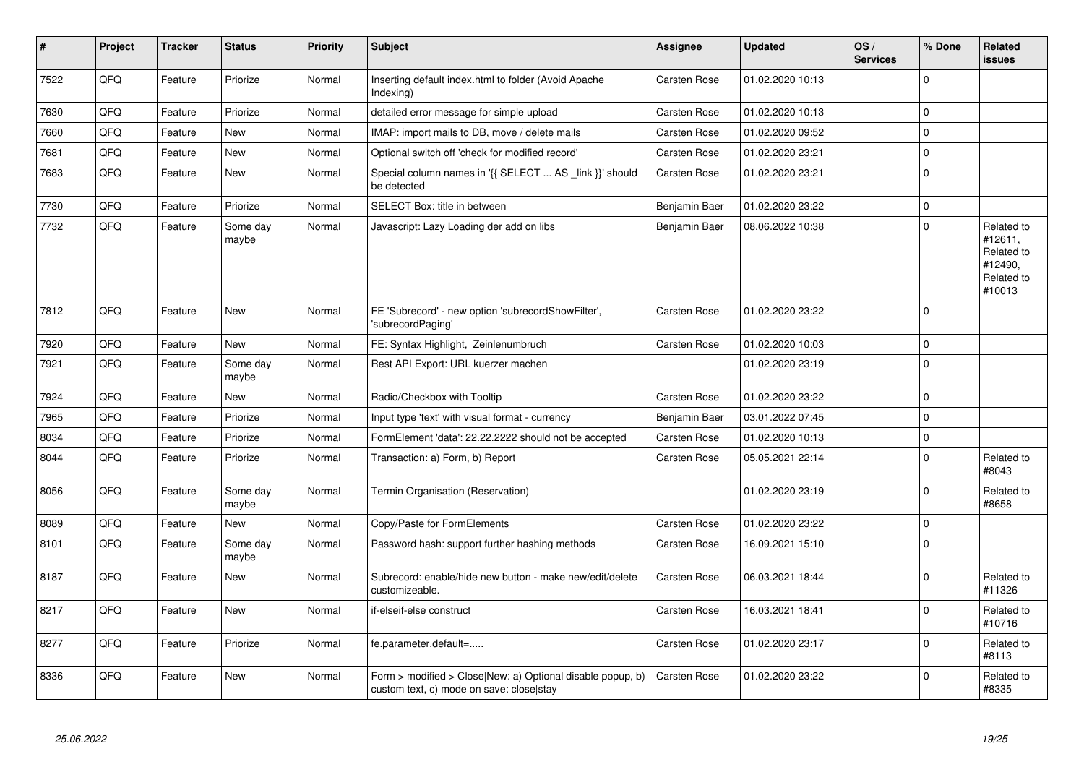| $\vert$ # | Project | <b>Tracker</b> | <b>Status</b>     | <b>Priority</b> | <b>Subject</b>                                                                                         | Assignee      | <b>Updated</b>   | OS/<br><b>Services</b> | % Done      | Related<br><b>issues</b>                                               |
|-----------|---------|----------------|-------------------|-----------------|--------------------------------------------------------------------------------------------------------|---------------|------------------|------------------------|-------------|------------------------------------------------------------------------|
| 7522      | QFQ     | Feature        | Priorize          | Normal          | Inserting default index.html to folder (Avoid Apache<br>Indexing)                                      | Carsten Rose  | 01.02.2020 10:13 |                        | $\Omega$    |                                                                        |
| 7630      | QFQ     | Feature        | Priorize          | Normal          | detailed error message for simple upload                                                               | Carsten Rose  | 01.02.2020 10:13 |                        | $\mathbf 0$ |                                                                        |
| 7660      | QFQ     | Feature        | <b>New</b>        | Normal          | IMAP: import mails to DB, move / delete mails                                                          | Carsten Rose  | 01.02.2020 09:52 |                        | $\mathbf 0$ |                                                                        |
| 7681      | QFQ     | Feature        | New               | Normal          | Optional switch off 'check for modified record'                                                        | Carsten Rose  | 01.02.2020 23:21 |                        | $\Omega$    |                                                                        |
| 7683      | QFQ     | Feature        | New               | Normal          | Special column names in '{{ SELECT  AS link }}' should<br>be detected                                  | Carsten Rose  | 01.02.2020 23:21 |                        | $\mathbf 0$ |                                                                        |
| 7730      | QFQ     | Feature        | Priorize          | Normal          | SELECT Box: title in between                                                                           | Benjamin Baer | 01.02.2020 23:22 |                        | 0           |                                                                        |
| 7732      | QFQ     | Feature        | Some day<br>maybe | Normal          | Javascript: Lazy Loading der add on libs                                                               | Benjamin Baer | 08.06.2022 10:38 |                        | $\Omega$    | Related to<br>#12611,<br>Related to<br>#12490,<br>Related to<br>#10013 |
| 7812      | QFQ     | Feature        | <b>New</b>        | Normal          | FE 'Subrecord' - new option 'subrecordShowFilter',<br>'subrecordPaging'                                | Carsten Rose  | 01.02.2020 23:22 |                        | $\Omega$    |                                                                        |
| 7920      | QFQ     | Feature        | <b>New</b>        | Normal          | FE: Syntax Highlight, Zeinlenumbruch                                                                   | Carsten Rose  | 01.02.2020 10:03 |                        | $\mathbf 0$ |                                                                        |
| 7921      | QFQ     | Feature        | Some day<br>maybe | Normal          | Rest API Export: URL kuerzer machen                                                                    |               | 01.02.2020 23:19 |                        | $\mathbf 0$ |                                                                        |
| 7924      | QFQ     | Feature        | New               | Normal          | Radio/Checkbox with Tooltip                                                                            | Carsten Rose  | 01.02.2020 23:22 |                        | $\Omega$    |                                                                        |
| 7965      | QFQ     | Feature        | Priorize          | Normal          | Input type 'text' with visual format - currency                                                        | Benjamin Baer | 03.01.2022 07:45 |                        | $\mathbf 0$ |                                                                        |
| 8034      | QFQ     | Feature        | Priorize          | Normal          | FormElement 'data': 22.22.2222 should not be accepted                                                  | Carsten Rose  | 01.02.2020 10:13 |                        | $\mathbf 0$ |                                                                        |
| 8044      | QFQ     | Feature        | Priorize          | Normal          | Transaction: a) Form, b) Report                                                                        | Carsten Rose  | 05.05.2021 22:14 |                        | $\Omega$    | Related to<br>#8043                                                    |
| 8056      | QFQ     | Feature        | Some day<br>maybe | Normal          | Termin Organisation (Reservation)                                                                      |               | 01.02.2020 23:19 |                        | $\Omega$    | Related to<br>#8658                                                    |
| 8089      | QFQ     | Feature        | New               | Normal          | Copy/Paste for FormElements                                                                            | Carsten Rose  | 01.02.2020 23:22 |                        | $\mathbf 0$ |                                                                        |
| 8101      | QFQ     | Feature        | Some dav<br>maybe | Normal          | Password hash: support further hashing methods                                                         | Carsten Rose  | 16.09.2021 15:10 |                        | $\Omega$    |                                                                        |
| 8187      | QFQ     | Feature        | New               | Normal          | Subrecord: enable/hide new button - make new/edit/delete<br>customizeable.                             | Carsten Rose  | 06.03.2021 18:44 |                        | $\Omega$    | Related to<br>#11326                                                   |
| 8217      | QFQ     | Feature        | New               | Normal          | if-elseif-else construct                                                                               | Carsten Rose  | 16.03.2021 18:41 |                        | $\Omega$    | Related to<br>#10716                                                   |
| 8277      | QFQ     | Feature        | Priorize          | Normal          | fe.parameter.default=                                                                                  | Carsten Rose  | 01.02.2020 23:17 |                        | $\Omega$    | Related to<br>#8113                                                    |
| 8336      | QFQ     | Feature        | New               | Normal          | Form > modified > Close New: a) Optional disable popup, b)<br>custom text, c) mode on save: close stay | Carsten Rose  | 01.02.2020 23:22 |                        | $\Omega$    | Related to<br>#8335                                                    |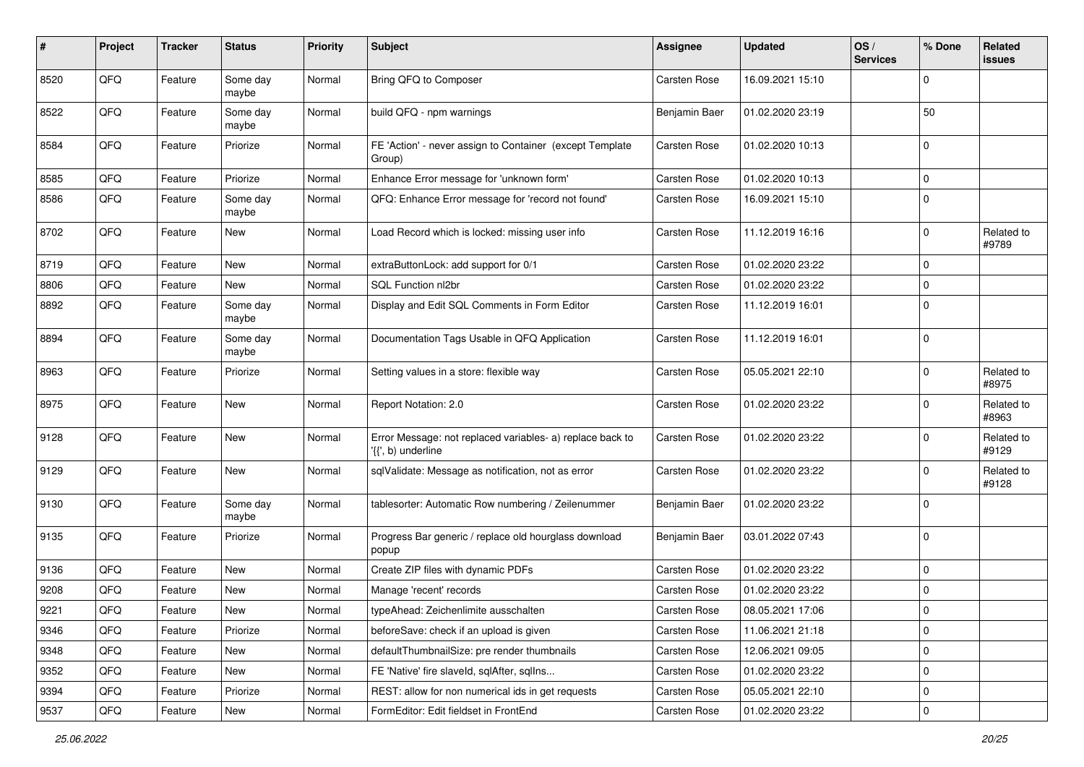| #    | Project | <b>Tracker</b> | <b>Status</b>     | <b>Priority</b> | Subject                                                                         | <b>Assignee</b>     | <b>Updated</b>   | OS/<br><b>Services</b> | % Done      | Related<br>issues   |
|------|---------|----------------|-------------------|-----------------|---------------------------------------------------------------------------------|---------------------|------------------|------------------------|-------------|---------------------|
| 8520 | QFQ     | Feature        | Some day<br>maybe | Normal          | Bring QFQ to Composer                                                           | Carsten Rose        | 16.09.2021 15:10 |                        | 0           |                     |
| 8522 | QFQ     | Feature        | Some day<br>maybe | Normal          | build QFQ - npm warnings                                                        | Benjamin Baer       | 01.02.2020 23:19 |                        | 50          |                     |
| 8584 | QFQ     | Feature        | Priorize          | Normal          | FE 'Action' - never assign to Container (except Template<br>Group)              | Carsten Rose        | 01.02.2020 10:13 |                        | 0           |                     |
| 8585 | QFQ     | Feature        | Priorize          | Normal          | Enhance Error message for 'unknown form'                                        | <b>Carsten Rose</b> | 01.02.2020 10:13 |                        | $\mathbf 0$ |                     |
| 8586 | QFQ     | Feature        | Some day<br>maybe | Normal          | QFQ: Enhance Error message for 'record not found'                               | <b>Carsten Rose</b> | 16.09.2021 15:10 |                        | $\Omega$    |                     |
| 8702 | QFQ     | Feature        | New               | Normal          | Load Record which is locked: missing user info                                  | Carsten Rose        | 11.12.2019 16:16 |                        | $\Omega$    | Related to<br>#9789 |
| 8719 | QFQ     | Feature        | <b>New</b>        | Normal          | extraButtonLock: add support for 0/1                                            | Carsten Rose        | 01.02.2020 23:22 |                        | 0           |                     |
| 8806 | QFQ     | Feature        | New               | Normal          | SQL Function nl2br                                                              | Carsten Rose        | 01.02.2020 23:22 |                        | 0           |                     |
| 8892 | QFQ     | Feature        | Some day<br>maybe | Normal          | Display and Edit SQL Comments in Form Editor                                    | Carsten Rose        | 11.12.2019 16:01 |                        | $\Omega$    |                     |
| 8894 | QFQ     | Feature        | Some day<br>maybe | Normal          | Documentation Tags Usable in QFQ Application                                    | Carsten Rose        | 11.12.2019 16:01 |                        | $\Omega$    |                     |
| 8963 | QFQ     | Feature        | Priorize          | Normal          | Setting values in a store: flexible way                                         | Carsten Rose        | 05.05.2021 22:10 |                        | $\mathbf 0$ | Related to<br>#8975 |
| 8975 | QFQ     | Feature        | <b>New</b>        | Normal          | Report Notation: 2.0                                                            | <b>Carsten Rose</b> | 01.02.2020 23:22 |                        | $\Omega$    | Related to<br>#8963 |
| 9128 | QFQ     | Feature        | New               | Normal          | Error Message: not replaced variables- a) replace back to<br>'{{', b) underline | Carsten Rose        | 01.02.2020 23:22 |                        | $\Omega$    | Related to<br>#9129 |
| 9129 | QFQ     | Feature        | New               | Normal          | sqlValidate: Message as notification, not as error                              | Carsten Rose        | 01.02.2020 23:22 |                        | $\Omega$    | Related to<br>#9128 |
| 9130 | QFQ     | Feature        | Some day<br>maybe | Normal          | tablesorter: Automatic Row numbering / Zeilenummer                              | Benjamin Baer       | 01.02.2020 23:22 |                        | $\Omega$    |                     |
| 9135 | QFQ     | Feature        | Priorize          | Normal          | Progress Bar generic / replace old hourglass download<br>popup                  | Benjamin Baer       | 03.01.2022 07:43 |                        | $\Omega$    |                     |
| 9136 | QFQ     | Feature        | New               | Normal          | Create ZIP files with dynamic PDFs                                              | Carsten Rose        | 01.02.2020 23:22 |                        | $\Omega$    |                     |
| 9208 | QFQ     | Feature        | New               | Normal          | Manage 'recent' records                                                         | Carsten Rose        | 01.02.2020 23:22 |                        | 0           |                     |
| 9221 | QFQ     | Feature        | New               | Normal          | typeAhead: Zeichenlimite ausschalten                                            | Carsten Rose        | 08.05.2021 17:06 |                        | l O         |                     |
| 9346 | QFQ     | Feature        | Priorize          | Normal          | beforeSave: check if an upload is given                                         | Carsten Rose        | 11.06.2021 21:18 |                        | $\mathbf 0$ |                     |
| 9348 | QFQ     | Feature        | New               | Normal          | defaultThumbnailSize: pre render thumbnails                                     | Carsten Rose        | 12.06.2021 09:05 |                        | 0           |                     |
| 9352 | QFQ     | Feature        | New               | Normal          | FE 'Native' fire slaveld, sqlAfter, sqlIns                                      | Carsten Rose        | 01.02.2020 23:22 |                        | 0           |                     |
| 9394 | QFQ     | Feature        | Priorize          | Normal          | REST: allow for non numerical ids in get requests                               | Carsten Rose        | 05.05.2021 22:10 |                        | 0           |                     |
| 9537 | QFQ     | Feature        | New               | Normal          | FormEditor: Edit fieldset in FrontEnd                                           | Carsten Rose        | 01.02.2020 23:22 |                        | 0           |                     |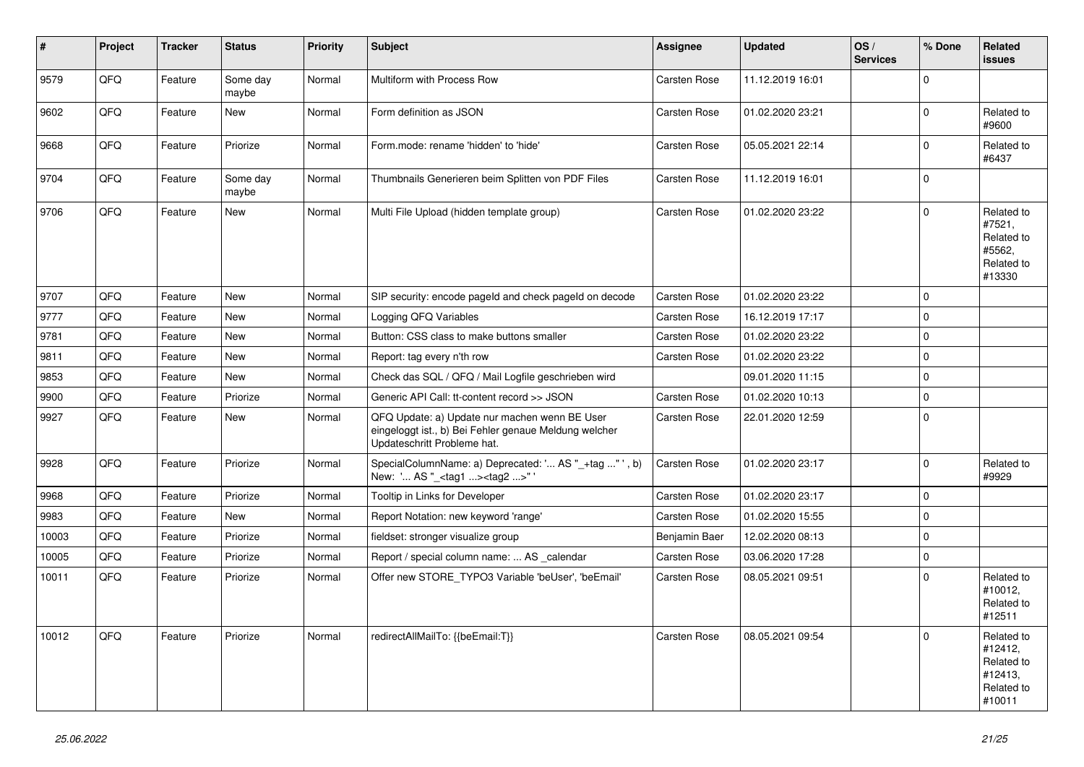| $\vert$ # | <b>Project</b> | <b>Tracker</b> | <b>Status</b>     | <b>Priority</b> | <b>Subject</b>                                                                                                                        | Assignee      | <b>Updated</b>   | OS/<br><b>Services</b> | % Done       | Related<br><b>issues</b>                                               |
|-----------|----------------|----------------|-------------------|-----------------|---------------------------------------------------------------------------------------------------------------------------------------|---------------|------------------|------------------------|--------------|------------------------------------------------------------------------|
| 9579      | QFQ            | Feature        | Some day<br>maybe | Normal          | Multiform with Process Row                                                                                                            | Carsten Rose  | 11.12.2019 16:01 |                        | $\mathbf 0$  |                                                                        |
| 9602      | QFQ            | Feature        | <b>New</b>        | Normal          | Form definition as JSON                                                                                                               | Carsten Rose  | 01.02.2020 23:21 |                        | $\mathbf 0$  | Related to<br>#9600                                                    |
| 9668      | QFQ            | Feature        | Priorize          | Normal          | Form.mode: rename 'hidden' to 'hide'                                                                                                  | Carsten Rose  | 05.05.2021 22:14 |                        | $\mathbf 0$  | Related to<br>#6437                                                    |
| 9704      | QFQ            | Feature        | Some day<br>maybe | Normal          | Thumbnails Generieren beim Splitten von PDF Files                                                                                     | Carsten Rose  | 11.12.2019 16:01 |                        | $\mathbf 0$  |                                                                        |
| 9706      | QFQ            | Feature        | <b>New</b>        | Normal          | Multi File Upload (hidden template group)                                                                                             | Carsten Rose  | 01.02.2020 23:22 |                        | $\Omega$     | Related to<br>#7521,<br>Related to<br>#5562,<br>Related to<br>#13330   |
| 9707      | QFQ            | Feature        | New               | Normal          | SIP security: encode pageld and check pageld on decode                                                                                | Carsten Rose  | 01.02.2020 23:22 |                        | $\mathsf 0$  |                                                                        |
| 9777      | QFQ            | Feature        | New               | Normal          | Logging QFQ Variables                                                                                                                 | Carsten Rose  | 16.12.2019 17:17 |                        | $\mathbf 0$  |                                                                        |
| 9781      | QFQ            | Feature        | New               | Normal          | Button: CSS class to make buttons smaller                                                                                             | Carsten Rose  | 01.02.2020 23:22 |                        | $\mathsf 0$  |                                                                        |
| 9811      | QFQ            | Feature        | <b>New</b>        | Normal          | Report: tag every n'th row                                                                                                            | Carsten Rose  | 01.02.2020 23:22 |                        | $\mathbf 0$  |                                                                        |
| 9853      | QFQ            | Feature        | <b>New</b>        | Normal          | Check das SQL / QFQ / Mail Logfile geschrieben wird                                                                                   |               | 09.01.2020 11:15 |                        | $\mathsf 0$  |                                                                        |
| 9900      | QFQ            | Feature        | Priorize          | Normal          | Generic API Call: tt-content record >> JSON                                                                                           | Carsten Rose  | 01.02.2020 10:13 |                        | $\mathsf 0$  |                                                                        |
| 9927      | QFQ            | Feature        | New               | Normal          | QFQ Update: a) Update nur machen wenn BE User<br>eingeloggt ist., b) Bei Fehler genaue Meldung welcher<br>Updateschritt Probleme hat. | Carsten Rose  | 22.01.2020 12:59 |                        | $\Omega$     |                                                                        |
| 9928      | QFQ            | Feature        | Priorize          | Normal          | SpecialColumnName: a) Deprecated: ' AS "_+tag " ', b)<br>New: ' AS "_ <tag1><tag2>"</tag2></tag1>                                     | Carsten Rose  | 01.02.2020 23:17 |                        | $\mathbf{0}$ | Related to<br>#9929                                                    |
| 9968      | QFQ            | Feature        | Priorize          | Normal          | Tooltip in Links for Developer                                                                                                        | Carsten Rose  | 01.02.2020 23:17 |                        | $\mathsf 0$  |                                                                        |
| 9983      | QFQ            | Feature        | New               | Normal          | Report Notation: new keyword 'range'                                                                                                  | Carsten Rose  | 01.02.2020 15:55 |                        | $\mathsf 0$  |                                                                        |
| 10003     | QFQ            | Feature        | Priorize          | Normal          | fieldset: stronger visualize group                                                                                                    | Benjamin Baer | 12.02.2020 08:13 |                        | $\mathbf 0$  |                                                                        |
| 10005     | QFQ            | Feature        | Priorize          | Normal          | Report / special column name:  AS calendar                                                                                            | Carsten Rose  | 03.06.2020 17:28 |                        | $\mathsf 0$  |                                                                        |
| 10011     | QFQ            | Feature        | Priorize          | Normal          | Offer new STORE TYPO3 Variable 'beUser', 'beEmail'                                                                                    | Carsten Rose  | 08.05.2021 09:51 |                        | $\Omega$     | Related to<br>#10012,<br>Related to<br>#12511                          |
| 10012     | QFQ            | Feature        | Priorize          | Normal          | redirectAllMailTo: {{beEmail:T}}                                                                                                      | Carsten Rose  | 08.05.2021 09:54 |                        | $\Omega$     | Related to<br>#12412,<br>Related to<br>#12413,<br>Related to<br>#10011 |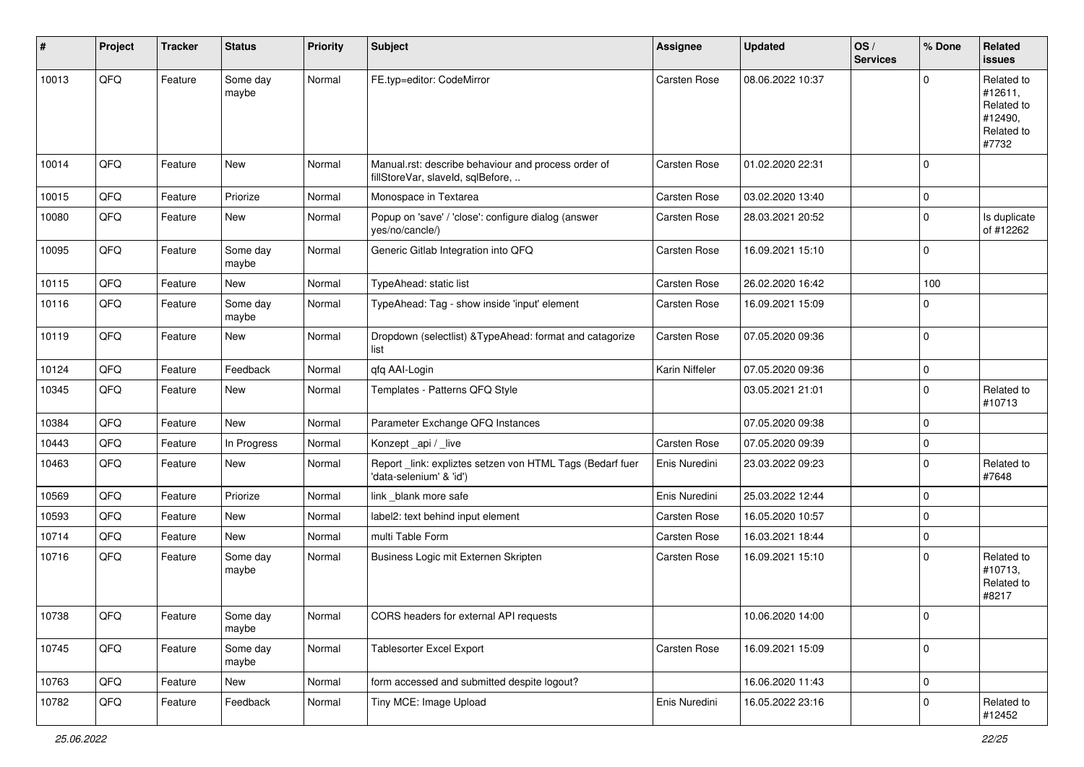| ∦     | Project | <b>Tracker</b> | <b>Status</b>     | <b>Priority</b> | Subject                                                                                  | <b>Assignee</b>     | <b>Updated</b>   | OS/<br><b>Services</b> | % Done      | Related<br>issues                                                     |
|-------|---------|----------------|-------------------|-----------------|------------------------------------------------------------------------------------------|---------------------|------------------|------------------------|-------------|-----------------------------------------------------------------------|
| 10013 | QFQ     | Feature        | Some day<br>maybe | Normal          | FE.typ=editor: CodeMirror                                                                | <b>Carsten Rose</b> | 08.06.2022 10:37 |                        | $\mathbf 0$ | Related to<br>#12611,<br>Related to<br>#12490,<br>Related to<br>#7732 |
| 10014 | QFQ     | Feature        | New               | Normal          | Manual.rst: describe behaviour and process order of<br>fillStoreVar, slaveId, sqlBefore, | Carsten Rose        | 01.02.2020 22:31 |                        | $\mathbf 0$ |                                                                       |
| 10015 | QFQ     | Feature        | Priorize          | Normal          | Monospace in Textarea                                                                    | Carsten Rose        | 03.02.2020 13:40 |                        | $\mathbf 0$ |                                                                       |
| 10080 | QFQ     | Feature        | New               | Normal          | Popup on 'save' / 'close': configure dialog (answer<br>yes/no/cancle/)                   | Carsten Rose        | 28.03.2021 20:52 |                        | $\mathbf 0$ | Is duplicate<br>of #12262                                             |
| 10095 | QFQ     | Feature        | Some day<br>maybe | Normal          | Generic Gitlab Integration into QFQ                                                      | Carsten Rose        | 16.09.2021 15:10 |                        | $\mathbf 0$ |                                                                       |
| 10115 | QFQ     | Feature        | New               | Normal          | TypeAhead: static list                                                                   | Carsten Rose        | 26.02.2020 16:42 |                        | 100         |                                                                       |
| 10116 | QFQ     | Feature        | Some day<br>maybe | Normal          | TypeAhead: Tag - show inside 'input' element                                             | Carsten Rose        | 16.09.2021 15:09 |                        | $\mathbf 0$ |                                                                       |
| 10119 | QFQ     | Feature        | New               | Normal          | Dropdown (selectlist) & TypeAhead: format and catagorize<br>list                         | Carsten Rose        | 07.05.2020 09:36 |                        | $\mathbf 0$ |                                                                       |
| 10124 | QFQ     | Feature        | Feedback          | Normal          | qfq AAI-Login                                                                            | Karin Niffeler      | 07.05.2020 09:36 |                        | $\mathbf 0$ |                                                                       |
| 10345 | QFQ     | Feature        | New               | Normal          | Templates - Patterns QFQ Style                                                           |                     | 03.05.2021 21:01 |                        | $\mathbf 0$ | Related to<br>#10713                                                  |
| 10384 | QFQ     | Feature        | New               | Normal          | Parameter Exchange QFQ Instances                                                         |                     | 07.05.2020 09:38 |                        | $\mathbf 0$ |                                                                       |
| 10443 | QFQ     | Feature        | In Progress       | Normal          | Konzept_api / _live                                                                      | Carsten Rose        | 07.05.2020 09:39 |                        | $\mathbf 0$ |                                                                       |
| 10463 | QFQ     | Feature        | New               | Normal          | Report _link: expliztes setzen von HTML Tags (Bedarf fuer<br>'data-selenium' & 'id')     | Enis Nuredini       | 23.03.2022 09:23 |                        | $\mathbf 0$ | Related to<br>#7648                                                   |
| 10569 | QFQ     | Feature        | Priorize          | Normal          | link _blank more safe                                                                    | Enis Nuredini       | 25.03.2022 12:44 |                        | $\mathbf 0$ |                                                                       |
| 10593 | QFQ     | Feature        | New               | Normal          | label2: text behind input element                                                        | Carsten Rose        | 16.05.2020 10:57 |                        | $\mathbf 0$ |                                                                       |
| 10714 | QFQ     | Feature        | New               | Normal          | multi Table Form                                                                         | Carsten Rose        | 16.03.2021 18:44 |                        | $\mathbf 0$ |                                                                       |
| 10716 | QFQ     | Feature        | Some day<br>maybe | Normal          | Business Logic mit Externen Skripten                                                     | Carsten Rose        | 16.09.2021 15:10 |                        | $\mathbf 0$ | Related to<br>#10713,<br>Related to<br>#8217                          |
| 10738 | QFQ     | Feature        | Some day<br>maybe | Normal          | CORS headers for external API requests                                                   |                     | 10.06.2020 14:00 |                        | 1 O         |                                                                       |
| 10745 | QFQ     | Feature        | Some day<br>maybe | Normal          | Tablesorter Excel Export                                                                 | Carsten Rose        | 16.09.2021 15:09 |                        | $\mathbf 0$ |                                                                       |
| 10763 | QFQ     | Feature        | New               | Normal          | form accessed and submitted despite logout?                                              |                     | 16.06.2020 11:43 |                        | $\mathbf 0$ |                                                                       |
| 10782 | QFQ     | Feature        | Feedback          | Normal          | Tiny MCE: Image Upload                                                                   | Enis Nuredini       | 16.05.2022 23:16 |                        | 0           | Related to<br>#12452                                                  |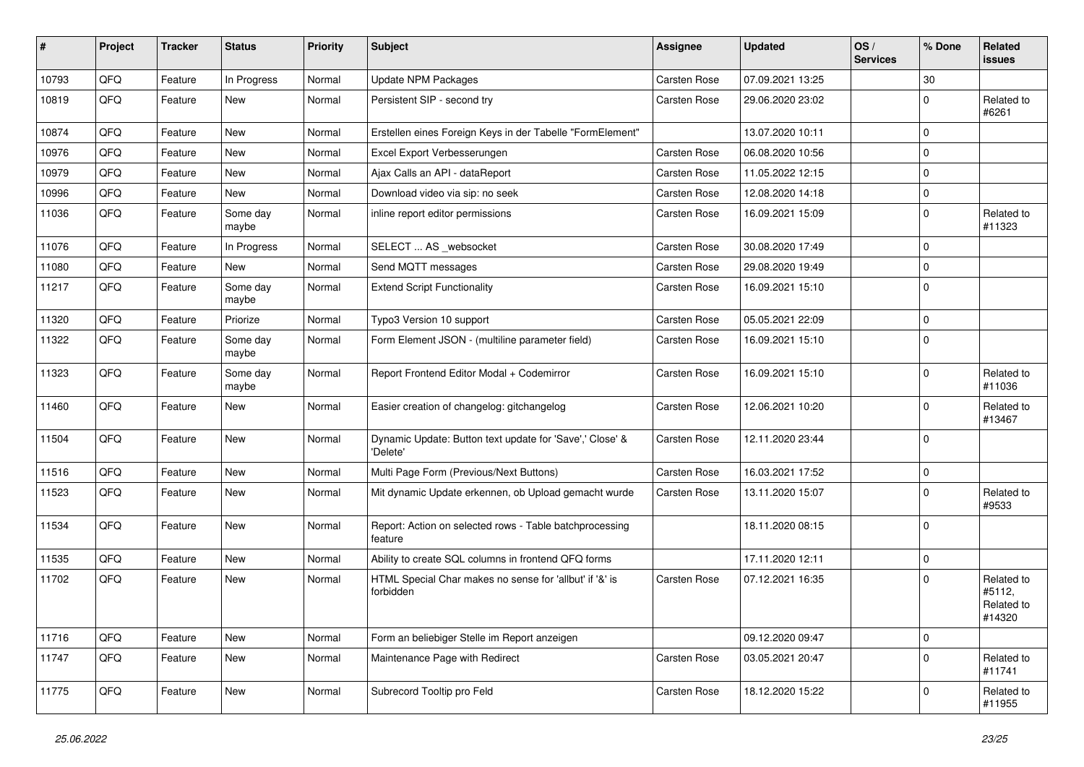| #     | Project | <b>Tracker</b> | <b>Status</b>     | <b>Priority</b> | <b>Subject</b>                                                       | <b>Assignee</b> | <b>Updated</b>   | OS/<br><b>Services</b> | % Done      | Related<br>issues                            |
|-------|---------|----------------|-------------------|-----------------|----------------------------------------------------------------------|-----------------|------------------|------------------------|-------------|----------------------------------------------|
| 10793 | QFQ     | Feature        | In Progress       | Normal          | <b>Update NPM Packages</b>                                           | Carsten Rose    | 07.09.2021 13:25 |                        | 30          |                                              |
| 10819 | QFQ     | Feature        | New               | Normal          | Persistent SIP - second try                                          | Carsten Rose    | 29.06.2020 23:02 |                        | $\mathbf 0$ | Related to<br>#6261                          |
| 10874 | QFQ     | Feature        | New               | Normal          | Erstellen eines Foreign Keys in der Tabelle "FormElement"            |                 | 13.07.2020 10:11 |                        | $\mathbf 0$ |                                              |
| 10976 | QFQ     | Feature        | New               | Normal          | Excel Export Verbesserungen                                          | Carsten Rose    | 06.08.2020 10:56 |                        | $\mathbf 0$ |                                              |
| 10979 | QFQ     | Feature        | New               | Normal          | Ajax Calls an API - dataReport                                       | Carsten Rose    | 11.05.2022 12:15 |                        | $\mathbf 0$ |                                              |
| 10996 | QFQ     | Feature        | New               | Normal          | Download video via sip: no seek                                      | Carsten Rose    | 12.08.2020 14:18 |                        | $\mathbf 0$ |                                              |
| 11036 | QFQ     | Feature        | Some day<br>maybe | Normal          | inline report editor permissions                                     | Carsten Rose    | 16.09.2021 15:09 |                        | $\mathbf 0$ | Related to<br>#11323                         |
| 11076 | QFQ     | Feature        | In Progress       | Normal          | SELECT  AS _websocket                                                | Carsten Rose    | 30.08.2020 17:49 |                        | $\mathbf 0$ |                                              |
| 11080 | QFQ     | Feature        | New               | Normal          | Send MQTT messages                                                   | Carsten Rose    | 29.08.2020 19:49 |                        | $\mathbf 0$ |                                              |
| 11217 | QFQ     | Feature        | Some day<br>maybe | Normal          | <b>Extend Script Functionality</b>                                   | Carsten Rose    | 16.09.2021 15:10 |                        | $\mathbf 0$ |                                              |
| 11320 | QFQ     | Feature        | Priorize          | Normal          | Typo3 Version 10 support                                             | Carsten Rose    | 05.05.2021 22:09 |                        | $\mathbf 0$ |                                              |
| 11322 | QFQ     | Feature        | Some day<br>maybe | Normal          | Form Element JSON - (multiline parameter field)                      | Carsten Rose    | 16.09.2021 15:10 |                        | $\mathbf 0$ |                                              |
| 11323 | QFQ     | Feature        | Some day<br>maybe | Normal          | Report Frontend Editor Modal + Codemirror                            | Carsten Rose    | 16.09.2021 15:10 |                        | $\mathbf 0$ | Related to<br>#11036                         |
| 11460 | QFQ     | Feature        | New               | Normal          | Easier creation of changelog: gitchangelog                           | Carsten Rose    | 12.06.2021 10:20 |                        | $\mathbf 0$ | Related to<br>#13467                         |
| 11504 | QFQ     | Feature        | New               | Normal          | Dynamic Update: Button text update for 'Save',' Close' &<br>'Delete' | Carsten Rose    | 12.11.2020 23:44 |                        | $\mathbf 0$ |                                              |
| 11516 | QFQ     | Feature        | New               | Normal          | Multi Page Form (Previous/Next Buttons)                              | Carsten Rose    | 16.03.2021 17:52 |                        | $\mathbf 0$ |                                              |
| 11523 | QFQ     | Feature        | New               | Normal          | Mit dynamic Update erkennen, ob Upload gemacht wurde                 | Carsten Rose    | 13.11.2020 15:07 |                        | $\mathbf 0$ | Related to<br>#9533                          |
| 11534 | QFQ     | Feature        | New               | Normal          | Report: Action on selected rows - Table batchprocessing<br>feature   |                 | 18.11.2020 08:15 |                        | $\mathbf 0$ |                                              |
| 11535 | QFQ     | Feature        | New               | Normal          | Ability to create SQL columns in frontend QFQ forms                  |                 | 17.11.2020 12:11 |                        | $\mathbf 0$ |                                              |
| 11702 | QFQ     | Feature        | New               | Normal          | HTML Special Char makes no sense for 'allbut' if '&' is<br>forbidden | Carsten Rose    | 07.12.2021 16:35 |                        | $\mathbf 0$ | Related to<br>#5112,<br>Related to<br>#14320 |
| 11716 | QFO     | Feature        | New               | Normal          | Form an beliebiger Stelle im Report anzeigen                         |                 | 09.12.2020 09:47 |                        | $\mathbf 0$ |                                              |
| 11747 | QFO     | Feature        | New               | Normal          | Maintenance Page with Redirect                                       | Carsten Rose    | 03.05.2021 20:47 |                        | $\mathbf 0$ | Related to<br>#11741                         |
| 11775 | QFQ     | Feature        | New               | Normal          | Subrecord Tooltip pro Feld                                           | Carsten Rose    | 18.12.2020 15:22 |                        | 0           | Related to<br>#11955                         |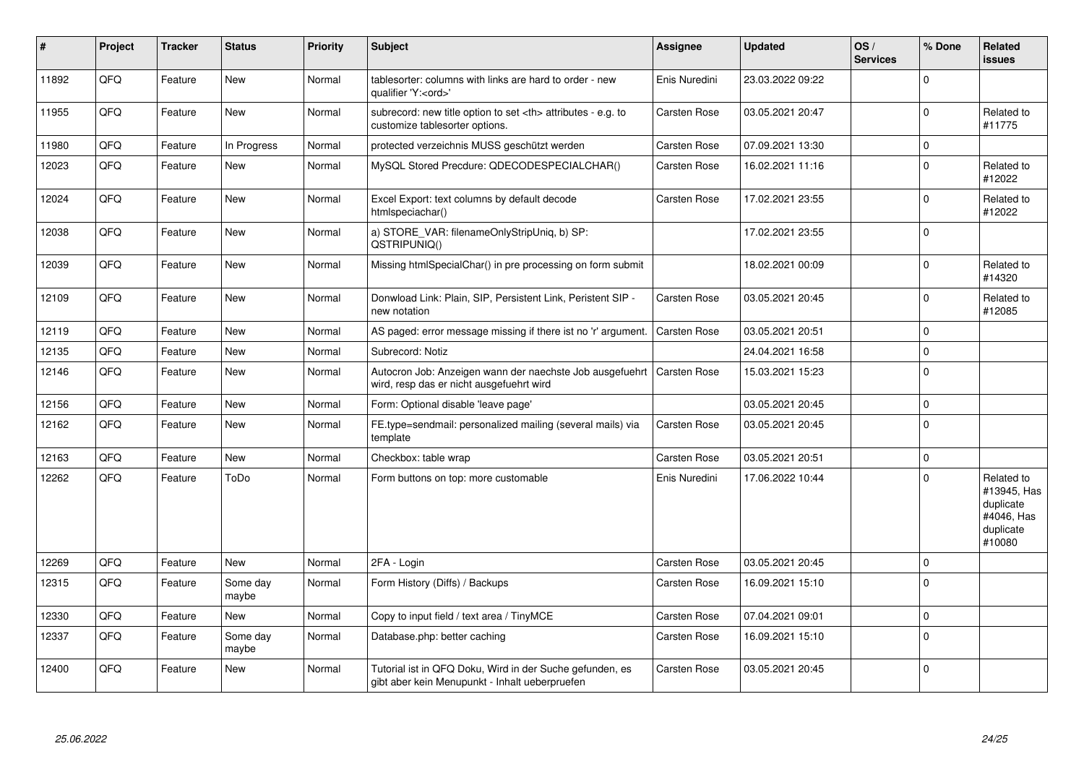| $\vert$ # | Project | <b>Tracker</b> | <b>Status</b>     | <b>Priority</b> | <b>Subject</b>                                                                                             | <b>Assignee</b>                                        | <b>Updated</b>   | OS/<br><b>Services</b> | % Done      | Related<br><b>issues</b>                                                    |                      |
|-----------|---------|----------------|-------------------|-----------------|------------------------------------------------------------------------------------------------------------|--------------------------------------------------------|------------------|------------------------|-------------|-----------------------------------------------------------------------------|----------------------|
| 11892     | QFQ     | Feature        | New               | Normal          | tablesorter: columns with links are hard to order - new<br>qualifier 'Y: <ord>'</ord>                      | Enis Nuredini                                          | 23.03.2022 09:22 |                        | $\mathbf 0$ |                                                                             |                      |
| 11955     | QFQ     | Feature        | New               | Normal          | subrecord: new title option to set <th> attributes - e.g. to<br/>customize tablesorter options.</th>       | attributes - e.g. to<br>customize tablesorter options. | Carsten Rose     | 03.05.2021 20:47       |             | $\mathbf 0$                                                                 | Related to<br>#11775 |
| 11980     | QFQ     | Feature        | In Progress       | Normal          | protected verzeichnis MUSS geschützt werden                                                                | Carsten Rose                                           | 07.09.2021 13:30 |                        | $\mathbf 0$ |                                                                             |                      |
| 12023     | QFQ     | Feature        | <b>New</b>        | Normal          | MySQL Stored Precdure: QDECODESPECIALCHAR()                                                                | Carsten Rose                                           | 16.02.2021 11:16 |                        | $\mathbf 0$ | Related to<br>#12022                                                        |                      |
| 12024     | QFQ     | Feature        | <b>New</b>        | Normal          | Excel Export: text columns by default decode<br>htmlspeciachar()                                           | Carsten Rose                                           | 17.02.2021 23:55 |                        | $\mathbf 0$ | Related to<br>#12022                                                        |                      |
| 12038     | QFQ     | Feature        | New               | Normal          | a) STORE_VAR: filenameOnlyStripUniq, b) SP:<br>QSTRIPUNIQ()                                                |                                                        | 17.02.2021 23:55 |                        | $\mathbf 0$ |                                                                             |                      |
| 12039     | QFQ     | Feature        | <b>New</b>        | Normal          | Missing htmlSpecialChar() in pre processing on form submit                                                 |                                                        | 18.02.2021 00:09 |                        | $\Omega$    | Related to<br>#14320                                                        |                      |
| 12109     | QFQ     | Feature        | <b>New</b>        | Normal          | Donwload Link: Plain, SIP, Persistent Link, Peristent SIP -<br>new notation                                | Carsten Rose                                           | 03.05.2021 20:45 |                        | $\mathbf 0$ | Related to<br>#12085                                                        |                      |
| 12119     | QFQ     | Feature        | <b>New</b>        | Normal          | AS paged: error message missing if there ist no 'r' argument.                                              | Carsten Rose                                           | 03.05.2021 20:51 |                        | $\mathbf 0$ |                                                                             |                      |
| 12135     | QFQ     | Feature        | <b>New</b>        | Normal          | Subrecord: Notiz                                                                                           |                                                        | 24.04.2021 16:58 |                        | $\mathbf 0$ |                                                                             |                      |
| 12146     | QFQ     | Feature        | New               | Normal          | Autocron Job: Anzeigen wann der naechste Job ausgefuehrt<br>wird, resp das er nicht ausgefuehrt wird       | <b>Carsten Rose</b>                                    | 15.03.2021 15:23 |                        | $\mathbf 0$ |                                                                             |                      |
| 12156     | QFQ     | Feature        | New               | Normal          | Form: Optional disable 'leave page'                                                                        |                                                        | 03.05.2021 20:45 |                        | $\mathbf 0$ |                                                                             |                      |
| 12162     | QFQ     | Feature        | New               | Normal          | FE.type=sendmail: personalized mailing (several mails) via<br>template                                     | Carsten Rose                                           | 03.05.2021 20:45 |                        | $\mathbf 0$ |                                                                             |                      |
| 12163     | QFQ     | Feature        | <b>New</b>        | Normal          | Checkbox: table wrap                                                                                       | Carsten Rose                                           | 03.05.2021 20:51 |                        | $\mathbf 0$ |                                                                             |                      |
| 12262     | QFQ     | Feature        | ToDo              | Normal          | Form buttons on top: more customable                                                                       | Enis Nuredini                                          | 17.06.2022 10:44 |                        | $\mathbf 0$ | Related to<br>#13945, Has<br>duplicate<br>#4046, Has<br>duplicate<br>#10080 |                      |
| 12269     | QFQ     | Feature        | New               | Normal          | 2FA - Login                                                                                                | Carsten Rose                                           | 03.05.2021 20:45 |                        | $\mathbf 0$ |                                                                             |                      |
| 12315     | QFQ     | Feature        | Some day<br>maybe | Normal          | Form History (Diffs) / Backups                                                                             | Carsten Rose                                           | 16.09.2021 15:10 |                        | $\mathbf 0$ |                                                                             |                      |
| 12330     | QFQ     | Feature        | New               | Normal          | Copy to input field / text area / TinyMCE                                                                  | Carsten Rose                                           | 07.04.2021 09:01 |                        | $\mathbf 0$ |                                                                             |                      |
| 12337     | QFQ     | Feature        | Some day<br>maybe | Normal          | Database.php: better caching                                                                               | Carsten Rose                                           | 16.09.2021 15:10 |                        | $\mathbf 0$ |                                                                             |                      |
| 12400     | QFQ     | Feature        | New               | Normal          | Tutorial ist in QFQ Doku, Wird in der Suche gefunden, es<br>gibt aber kein Menupunkt - Inhalt ueberpruefen | Carsten Rose                                           | 03.05.2021 20:45 |                        | $\Omega$    |                                                                             |                      |